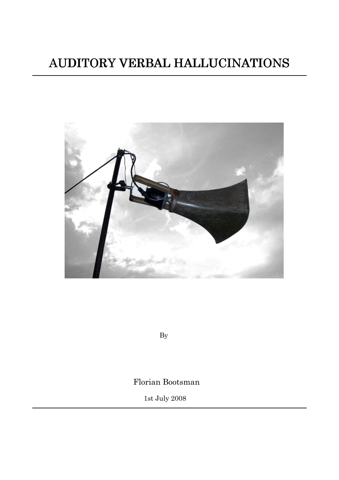# AUDITORY VERBAL HALLUCINATIONS AUDITORY VERBAL



By

Florian Bootsman

1st July 2008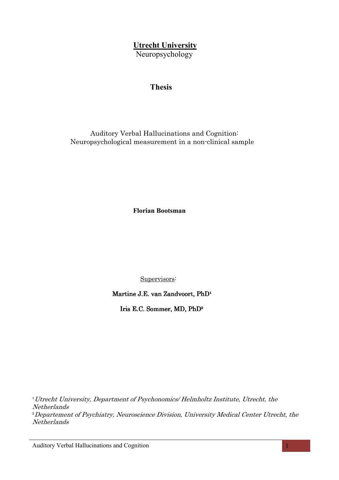# **Utrecht University**

Neuropsychology

# Thesis

 Auditory Verbal Hallucinations and Cognition: Neuropsychological measurement in a non-clinical sample

Florian Bootsman

Supervisors:

Martine J.E. van Zandvoort, PhD<sup>1</sup>

Iris E.C. Sommer, MD, PhD<sup>2</sup>

<sup>1</sup>Utrecht University, Department of Psychonomics/ Helmholtz Institute, Utrecht, the Netherlands ²Departement of Psychiatry, Neuroscience Division, University Medical Center Utrecht, the Netherlands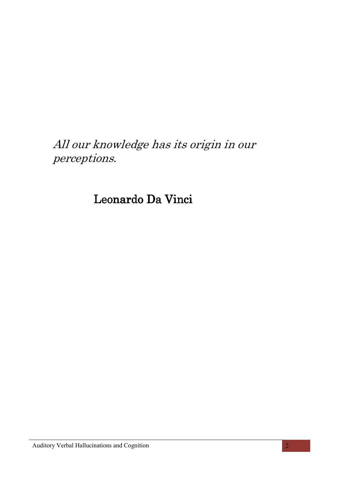All our knowledge has its origin in our perceptions.

Leonardo Da Vinci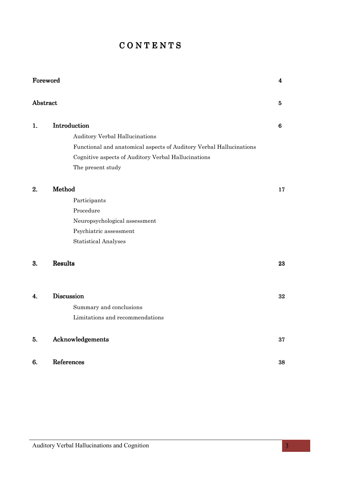# $C$  O N T E N T S

|          | Foreword                                                            | 4  |
|----------|---------------------------------------------------------------------|----|
| Abstract |                                                                     | 5  |
| 1.       | Introduction                                                        | 6  |
|          | Auditory Verbal Hallucinations                                      |    |
|          | Functional and anatomical aspects of Auditory Verbal Hallucinations |    |
|          | Cognitive aspects of Auditory Verbal Hallucinations                 |    |
|          | The present study                                                   |    |
| 2.       | Method                                                              | 17 |
|          | Participants                                                        |    |
|          | Procedure                                                           |    |
|          | Neuropsychological assessment                                       |    |
|          | Psychiatric assessment                                              |    |
|          | <b>Statistical Analyses</b>                                         |    |
| 3.       | Results                                                             | 23 |
| 4.       | Discussion                                                          | 32 |
|          | Summary and conclusions                                             |    |
|          | Limitations and recommendations                                     |    |
| 5.       | Acknowledgements                                                    | 37 |
| 6.       | References                                                          | 38 |
|          |                                                                     |    |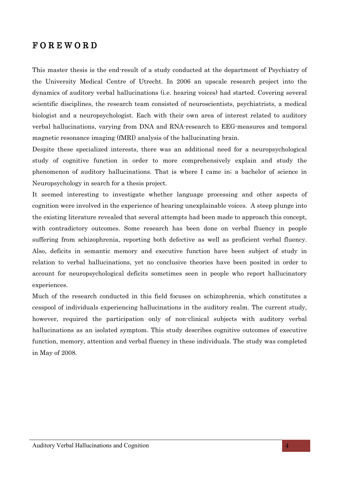# $F$  O R E W O R D

This master thesis is the end-result of a study conducted at the department of Psychiatry of the University Medical Centre of Utrecht. In 2006 an upscale research project into the dynamics of auditory verbal hallucinations (i.e. hearing voices) had started. Covering several scientific disciplines, the research team consisted of neuroscientists, psychiatrists, a medical biologist and a neuropsychologist. Each with their own area of interest related to auditory verbal hallucinations, varying from DNA and RNA-research to EEG-measures and temporal magnetic resonance imaging (fMRI) analysis of the hallucinating brain.

Despite these specialized interests, there was an additional need for a neuropsychological study of cognitive function in order to more comprehensively explain and study the phenomenon of auditory hallucinations. That is where I came in; a bachelor of science in Neuropsychology in search for a thesis project.

It seemed interesting to investigate whether language processing and other aspects of cognition were involved in the experience of hearing unexplainable voices. A steep plunge into the existing literature revealed that several attempts had been made to approach this concept, with contradictory outcomes. Some research has been done on verbal fluency in people suffering from schizophrenia, reporting both defective as well as proficient verbal fluency. Also, deficits in semantic memory and executive function have been subject of study in relation to verbal hallucinations, yet no conclusive theories have been posited in order to account for neuropsychological deficits sometimes seen in people who report hallucinatory experiences.

Much of the research conducted in this field focuses on schizophrenia, which constitutes a cesspool of individuals experiencing hallucinations in the auditory realm. The current study, however, required the participation only of non-clinical subjects with auditory verbal hallucinations as an isolated symptom. This study describes cognitive outcomes of executive function, memory, attention and verbal fluency in these individuals. The study was completed in May of 2008.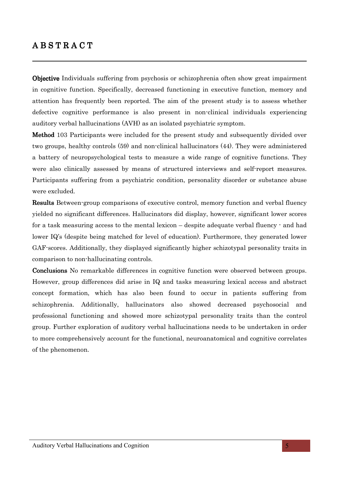# $A B S T R A C T$

Objective Individuals suffering from psychosis or schizophrenia often show great impairment in cognitive function. Specifically, decreased functioning in executive function, memory and attention has frequently been reported. The aim of the present study is to assess whether defective cognitive performance is also present in non-clinical individuals experiencing auditory verbal hallucinations (AVH) as an isolated psychiatric symptom.

**Method** 103 Participants were included for the present study and subsequently divided over two groups, healthy controls (59) and non-clinical hallucinators (44). They were administered a battery of neuropsychological tests to measure a wide range of cognitive functions. They were also clinically assessed by means of structured interviews and self-report measures. Participants suffering from a psychiatric condition, personality disorder or substance abuse were excluded.

Results Between-group comparisons of executive control, memory function and verbal fluency yielded no significant differences. Hallucinators did display, however, significant lower scores for a task measuring access to the mental lexicon – despite adequate verbal fluency - and had lower IQ's (despite being matched for level of education). Furthermore, they generated lower GAF-scores. Additionally, they displayed significantly higher schizotypal personality traits in comparison to non-hallucinating controls.

**Conclusions** No remarkable differences in cognitive function were observed between groups. However, group differences did arise in IQ and tasks measuring lexical access and abstract concept formation, which has also been found to occur in patients suffering from schizophrenia. Additionally, hallucinators also showed decreased psychosocial and professional functioning and showed more schizotypal personality traits than the control group. Further exploration of auditory verbal hallucinations needs to be undertaken in order to more comprehensively account for the functional, neuroanatomical and cognitive correlates of the phenomenon.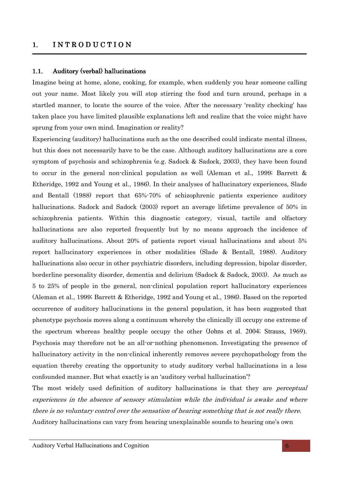# 1.  $INTRODUCTION$

# 1.1. Auditory (verbal) hallucinations

Imagine being at home, alone, cooking, for example, when suddenly you hear someone calling out your name. Most likely you will stop stirring the food and turn around, perhaps in a startled manner, to locate the source of the voice. After the necessary 'reality checking' has taken place you have limited plausible explanations left and realize that the voice might have sprung from your own mind. Imagination or reality?

Experiencing (auditory) hallucinations such as the one described could indicate mental illness, but this does not necessarily have to be the case. Although auditory hallucinations are a core symptom of psychosis and schizophrenia (e.g. Sadock & Sadock, 2003), they have been found to occur in the general non-clinical population as well (Aleman et al., 1999; Barrett & Etheridge, 1992 and Young et al., 1986). In their analyses of hallucinatory experiences, Slade and Bentall (1988) report that 65%-70% of schizophrenic patients experience auditory hallucinations. Sadock and Sadock (2003) report an average lifetime prevalence of 50% in schizophrenia patients. Within this diagnostic category, visual, tactile and olfactory hallucinations are also reported frequently but by no means approach the incidence of auditory hallucinations. About 20% of patients report visual hallucinations and about 5% report hallucinatory experiences in other modalities (Slade & Bentall, 1988). Auditory hallucinations also occur in other psychiatric disorders, including depression, bipolar disorder, borderline personality disorder, dementia and delirium (Sadock & Sadock, 2003). As much as 5 to 25% of people in the general, non-clinical population report hallucinatory experiences (Aleman et al., 1999; Barrett & Etheridge, 1992 and Young et al., 1986). Based on the reported occurrence of auditory hallucinations in the general population, it has been suggested that phenotype psychosis moves along a continuum whereby the clinically ill occupy one extreme of the spectrum whereas healthy people occupy the other (Johns et al. 2004; Strauss, 1969). Psychosis may therefore not be an all-or-nothing phenomenon. Investigating the presence of hallucinatory activity in the non-clinical inherently removes severe psychopathology from the equation thereby creating the opportunity to study auditory verbal hallucinations in a less confounded manner. But what exactly is an 'auditory verbal hallucination'?

The most widely used definition of auditory hallucinations is that they are *perceptual* experiences in the absence of sensory stimulation while the individual is awake and where there is no voluntary control over the sensation of hearing something that is not really there. Auditory hallucinations can vary from hearing unexplainable sounds to hearing one's own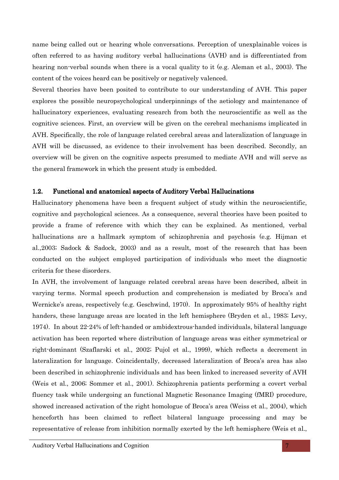name being called out or hearing whole conversations. Perception of unexplainable voices is often referred to as having auditory verbal hallucinations (AVH) and is differentiated from hearing non-verbal sounds when there is a vocal quality to it (e.g. Aleman et al., 2003). The content of the voices heard can be positively or negatively valenced.

Several theories have been posited to contribute to our understanding of AVH. This paper explores the possible neuropsychological underpinnings of the aetiology and maintenance of hallucinatory experiences, evaluating research from both the neuroscientific as well as the cognitive sciences. First, an overview will be given on the cerebral mechanisms implicated in AVH. Specifically, the role of language related cerebral areas and lateralization of language in AVH will be discussed, as evidence to their involvement has been described. Secondly, an overview will be given on the cognitive aspects presumed to mediate AVH and will serve as the general framework in which the present study is embedded.

#### 1.2. Functional and anatomical aspects of Auditory Verbal Hallucinations

Hallucinatory phenomena have been a frequent subject of study within the neuroscientific, cognitive and psychological sciences. As a consequence, several theories have been posited to provide a frame of reference with which they can be explained. As mentioned, verbal hallucinations are a hallmark symptom of schizophrenia and psychosis (e.g. Hijman et al.,2003; Sadock & Sadock, 2003) and as a result, most of the research that has been conducted on the subject employed participation of individuals who meet the diagnostic criteria for these disorders.

In AVH, the involvement of language related cerebral areas have been described, albeit in varying terms. Normal speech production and comprehension is mediated by Broca's and Wernicke's areas, respectively (e.g. Geschwind, 1970). In approximately 95% of healthy right handers, these language areas are located in the left hemisphere (Bryden et al., 1983; Levy, 1974). In about 22-24% of left-handed or ambidextrous-handed individuals, bilateral language activation has been reported where distribution of language areas was either symmetrical or right-dominant (Szaflarski et al., 2002; Pujol et al., 1999), which reflects a decrement in lateralization for language. Coincidentally, decreased lateralization of Broca's area has also been described in schizophrenic individuals and has been linked to increased severity of AVH (Weis et al., 2006; Sommer et al., 2001). Schizophrenia patients performing a covert verbal fluency task while undergoing an functional Magnetic Resonance Imaging (fMRI) procedure, showed increased activation of the right homologue of Broca's area (Weiss et al., 2004), which henceforth has been claimed to reflect bilateral language processing and may be representative of release from inhibition normally exerted by the left hemisphere (Weis et al.,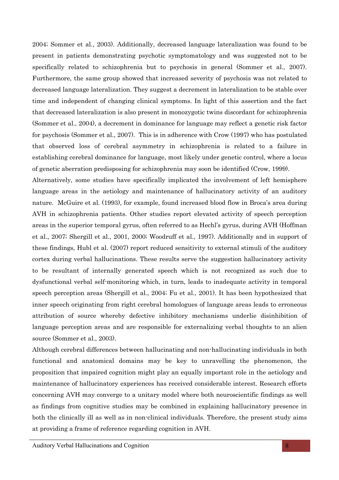2004; Sommer et al., 2003). Additionally, decreased language lateralization was found to be present in patients demonstrating psychotic symptomatology and was suggested not to be specifically related to schizophrenia but to psychosis in general (Sommer et al., 2007). Furthermore, the same group showed that increased severity of psychosis was not related to decreased language lateralization. They suggest a decrement in lateralization to be stable over time and independent of changing clinical symptoms. In light of this assertion and the fact that decreased lateralization is also present in monozygotic twins discordant for schizophrenia (Sommer et al., 2004), a decrement in dominance for language may reflect a genetic risk factor for psychosis (Sommer et al., 2007). This is in adherence with Crow (1997) who has postulated that observed loss of cerebral asymmetry in schizophrenia is related to a failure in establishing cerebral dominance for language, most likely under genetic control, where a locus of genetic aberration predisposing for schizophrenia may soon be identified (Crow, 1999).

Alternatively, some studies have specifically implicated the involvement of left hemisphere language areas in the aetiology and maintenance of hallucinatory activity of an auditory nature. McGuire et al. (1993), for example, found increased blood flow in Broca's area during AVH in schizophrenia patients. Other studies report elevated activity of speech perception areas in the superior temporal gyrus, often referred to as Hechl's gyrus, during AVH (Hoffman et al., 2007; Shergill et al., 2001, 2000; Woodruff et al., 1997). Additionally and in support of these findings, Hubl et al. (2007) report reduced sensitivity to external stimuli of the auditory cortex during verbal hallucinations. These results serve the suggestion hallucinatory activity to be resultant of internally generated speech which is not recognized as such due to dysfunctional verbal self-monitoring which, in turn, leads to inadequate activity in temporal speech perception areas (Shergill et al., 2004; Fu et al., 2001). It has been hypothesized that inner speech originating from right cerebral homologues of language areas leads to erroneous attribution of source whereby defective inhibitory mechanisms underlie disinhibition of language perception areas and are responsible for externalizing verbal thoughts to an alien source (Sommer et al., 2003).

Although cerebral differences between hallucinating and non-hallucinating individuals in both functional and anatomical domains may be key to unravelling the phenomenon, the proposition that impaired cognition might play an equally important role in the aetiology and maintenance of hallucinatory experiences has received considerable interest. Research efforts concerning AVH may converge to a unitary model where both neuroscientific findings as well as findings from cognitive studies may be combined in explaining hallucinatory presence in both the clinically ill as well as in non-clinical individuals. Therefore, the present study aims at providing a frame of reference regarding cognition in AVH.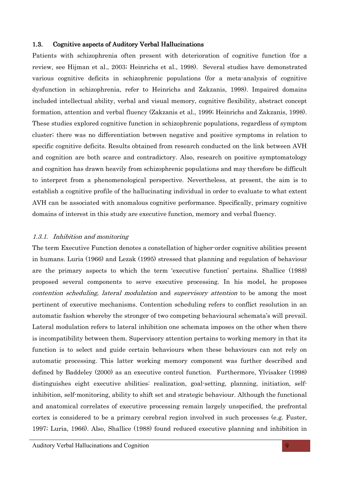#### 1.3. Cognitive aspects of Auditory Verbal Hallucinations

Patients with schizophrenia often present with deterioration of cognitive function (for a review, see Hijman et al., 2003; Heinrichs et al., 1998). Several studies have demonstrated various cognitive deficits in schizophrenic populations (for a meta-analysis of cognitive dysfunction in schizophrenia, refer to Heinrichs and Zakzanis, 1998). Impaired domains included intellectual ability, verbal and visual memory, cognitive flexibility, abstract concept formation, attention and verbal fluency (Zakzanis et al., 1999; Heinrichs and Zakzanis, 1998). These studies explored cognitive function in schizophrenic populations, regardless of symptom cluster; there was no differentiation between negative and positive symptoms in relation to specific cognitive deficits. Results obtained from research conducted on the link between AVH and cognition are both scarce and contradictory. Also, research on positive symptomatology and cognition has drawn heavily from schizophrenic populations and may therefore be difficult to interpret from a phenomenological perspective. Nevertheless, at present, the aim is to establish a cognitive profile of the hallucinating individual in order to evaluate to what extent AVH can be associated with anomalous cognitive performance. Specifically, primary cognitive domains of interest in this study are executive function, memory and verbal fluency.

#### 1.3.1. Inhibition and monitoring

The term Executive Function denotes a constellation of higher-order cognitive abilities present in humans. Luria (1966) and Lezak (1995) stressed that planning and regulation of behaviour are the primary aspects to which the term 'executive function' pertains. Shallice (1988) proposed several components to serve executive processing. In his model, he proposes contention scheduling, lateral modulation and supervisory attention to be among the most pertinent of executive mechanisms. Contention scheduling refers to conflict resolution in an automatic fashion whereby the stronger of two competing behavioural schemata's will prevail. Lateral modulation refers to lateral inhibition one schemata imposes on the other when there is incompatibility between them. Supervisory attention pertains to working memory in that its function is to select and guide certain behaviours when these behaviours can not rely on automatic processing. This latter working memory component was further described and defined by Baddeley (2000) as an executive control function. Furthermore, Ylvisaker (1998) distinguishes eight executive abilities: realization, goal-setting, planning, initiation, selfinhibition, self-monitoring, ability to shift set and strategic behaviour. Although the functional and anatomical correlates of executive processing remain largely unspecified, the prefrontal cortex is considered to be a primary cerebral region involved in such processes (e.g. Fuster, 1997; Luria, 1966). Also, Shallice (1988) found reduced executive planning and inhibition in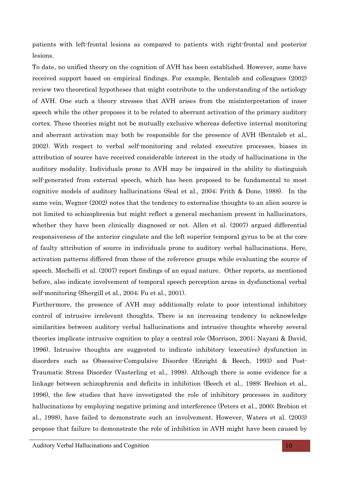patients with left-frontal lesions as compared to patients with right-frontal and posterior lesions.

To date, no unified theory on the cognition of AVH has been established. However, some have received support based on empirical findings. For example, Bentaleb and colleagues (2002) review two theoretical hypotheses that might contribute to the understanding of the aetiology of AVH. One such a theory stresses that AVH arises from the misinterpretation of inner speech while the other proposes it to be related to aberrant activation of the primary auditory cortex. These theories might not be mutually exclusive whereas defective internal monitoring and aberrant activation may both be responsible for the presence of AVH (Bentaleb et al., 2002). With respect to verbal self-monitoring and related executive processes, biases in attribution of source have received considerable interest in the study of hallucinations in the auditory modality. Individuals prone to AVH may be impaired in the ability to distinguish self-generated from external speech, which has been proposed to be fundamental to most cognitive models of auditory hallucinations (Seal et al., 2004; Frith & Done, 1988). In the same vein, Wegner (2002) notes that the tendency to externalize thoughts to an alien source is not limited to schizophrenia but might reflect a general mechanism present in hallucinators, whether they have been clinically diagnosed or not. Allen et al. (2007) argued differential responsiveness of the anterior cingulate and the left superior temporal gyrus to be at the core of faulty attribution of source in individuals prone to auditory verbal hallucinations. Here, activation patterns differed from those of the reference groups while evaluating the source of speech. Mechelli et al. (2007) report findings of an equal nature. Other reports, as mentioned before, also indicate involvement of temporal speech perception areas in dysfunctional verbal self-monitoring (Shergill et al., 2004; Fu et al., 2001).

Furthermore, the presence of AVH may additionally relate to poor intentional inhibitory control of intrusive irrelevant thoughts. There is an increasing tendency to acknowledge similarities between auditory verbal hallucinations and intrusive thoughts whereby several theories implicate intrusive cognition to play a central role (Morrison, 2001; Nayani & David, 1996). Intrusive thoughts are suggested to indicate inhibitory (executive) dysfunction in disorders such as Obsessive-Compulsive Disorder (Enright & Beech, 1993) and Post-Traumatic Stress Disorder (Vasterling et al., 1998). Although there is some evidence for a linkage between schizophrenia and deficits in inhibition (Beech et al., 1989; Brebion et al., 1996), the few studies that have investigated the role of inhibitory processes in auditory hallucinations by employing negative priming and interference (Peters et al., 2000; Brebion et al., 1998), have failed to demonstrate such an involvement. However, Waters et al. (2003) propose that failure to demonstrate the role of inhibition in AVH might have been caused by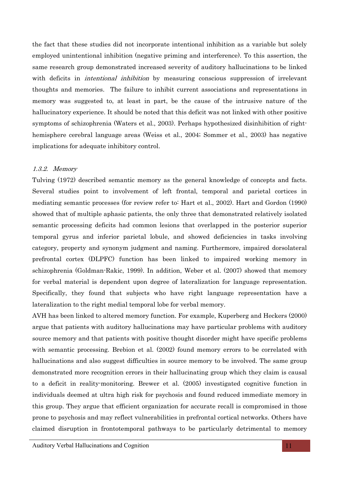the fact that these studies did not incorporate intentional inhibition as a variable but solely employed unintentional inhibition (negative priming and interference). To this assertion, the same research group demonstrated increased severity of auditory hallucinations to be linked with deficits in *intentional inhibition* by measuring conscious suppression of irrelevant thoughts and memories. The failure to inhibit current associations and representations in memory was suggested to, at least in part, be the cause of the intrusive nature of the hallucinatory experience. It should be noted that this deficit was not linked with other positive symptoms of schizophrenia (Waters et al., 2003). Perhaps hypothesized disinhibition of righthemisphere cerebral language areas (Weiss et al., 2004; Sommer et al., 2003) has negative implications for adequate inhibitory control.

#### 1.3.2. Memory

Tulving (1972) described semantic memory as the general knowledge of concepts and facts. Several studies point to involvement of left frontal, temporal and parietal cortices in mediating semantic processes (for review refer to: Hart et al., 2002). Hart and Gordon (1990) showed that of multiple aphasic patients, the only three that demonstrated relatively isolated semantic processing deficits had common lesions that overlapped in the posterior superior temporal gyrus and inferior parietal lobule, and showed deficiencies in tasks involving category, property and synonym judgment and naming. Furthermore, impaired dorsolateral prefrontal cortex (DLPFC) function has been linked to impaired working memory in schizophrenia (Goldman-Rakic, 1999). In addition, Weber et al. (2007) showed that memory for verbal material is dependent upon degree of lateralization for language representation. Specifically, they found that subjects who have right language representation have a lateralization to the right medial temporal lobe for verbal memory.

AVH has been linked to altered memory function. For example, Kuperberg and Heckers (2000) argue that patients with auditory hallucinations may have particular problems with auditory source memory and that patients with positive thought disorder might have specific problems with semantic processing. Brebion et al. (2002) found memory errors to be correlated with hallucinations and also suggest difficulties in source memory to be involved. The same group demonstrated more recognition errors in their hallucinating group which they claim is causal to a deficit in reality-monitoring. Brewer et al. (2005) investigated cognitive function in individuals deemed at ultra high risk for psychosis and found reduced immediate memory in this group. They argue that efficient organization for accurate recall is compromised in those prone to psychosis and may reflect vulnerabilities in prefrontal cortical networks. Others have claimed disruption in frontotemporal pathways to be particularly detrimental to memory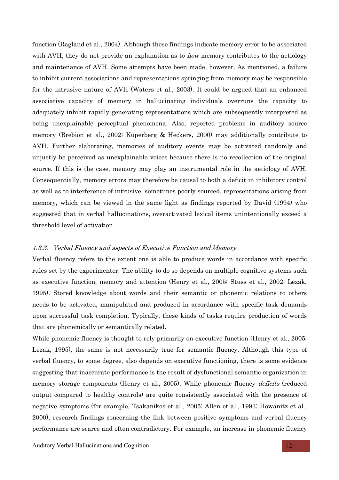function (Ragland et al., 2004). Although these findings indicate memory error to be associated with AVH, they do not provide an explanation as to *how* memory contributes to the aetiology and maintenance of AVH. Some attempts have been made, however. As mentioned, a failure to inhibit current associations and representations springing from memory may be responsible for the intrusive nature of AVH (Waters et al., 2003). It could be argued that an enhanced associative capacity of memory in hallucinating individuals overruns the capacity to adequately inhibit rapidly generating representations which are subsequently interpreted as being unexplainable perceptual phenomena. Also, reported problems in auditory source memory (Brebion et al., 2002; Kuperberg & Heckers, 2000) may additionally contribute to AVH. Further elaborating, memories of auditory events may be activated randomly and unjustly be perceived as unexplainable voices because there is no recollection of the original source. If this is the case, memory may play an instrumental role in the aetiology of AVH. Consequentially, memory errors may therefore be causal to both a deficit in inhibitory control as well as to interference of intrusive, sometimes poorly sourced, representations arising from memory, which can be viewed in the same light as findings reported by David (1994) who suggested that in verbal hallucinations, overactivated lexical items unintentionally exceed a threshold level of activation

# 1.3.3. Verbal Fluency and aspects of Executive Function and Memory

Verbal fluency refers to the extent one is able to produce words in accordance with specific rules set by the experimenter. The ability to do so depends on multiple cognitive systems such as executive function, memory and attention (Henry et al., 2005; Stuss et al., 2002; Lezak, 1995). Stored knowledge about words and their semantic or phonemic relations to others needs to be activated, manipulated and produced in accordance with specific task demands upon successful task completion. Typically, these kinds of tasks require production of words that are phonemically or semantically related.

While phonemic fluency is thought to rely primarily on executive function (Henry et al., 2005; Lezak, 1995), the same is not necessarily true for semantic fluency. Although this type of verbal fluency, to some degree, also depends on executive functioning, there is some evidence suggesting that inaccurate performance is the result of dysfunctional semantic organization in memory storage components (Henry et al., 2005). While phonemic fluency *deficits* (reduced output compared to healthy controls) are quite consistently associated with the presence of negative symptoms (for example, Tsakanikos et al., 2005; Allen et al., 1993; Howanitz et al., 2000), research findings concerning the link between positive symptoms and verbal fluency performance are scarce and often contradictory. For example, an increase in phonemic fluency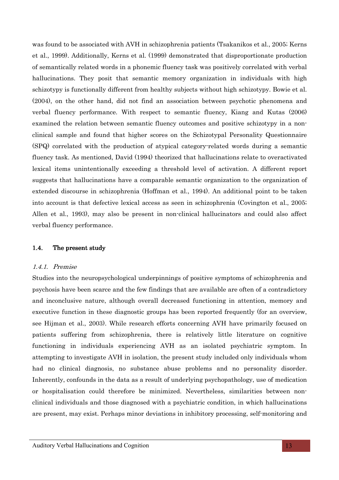was found to be associated with AVH in schizophrenia patients (Tsakanikos et al., 2005; Kerns et al., 1999). Additionally, Kerns et al. (1999) demonstrated that disproportionate production of semantically related words in a phonemic fluency task was positively correlated with verbal hallucinations. They posit that semantic memory organization in individuals with high schizotypy is functionally different from healthy subjects without high schizotypy. Bowie et al. (2004), on the other hand, did not find an association between psychotic phenomena and verbal fluency performance. With respect to semantic fluency, Kiang and Kutas (2006) examined the relation between semantic fluency outcomes and positive schizotypy in a nonclinical sample and found that higher scores on the Schizotypal Personality Questionnaire (SPQ) correlated with the production of atypical category-related words during a semantic fluency task. As mentioned, David (1994) theorized that hallucinations relate to overactivated lexical items unintentionally exceeding a threshold level of activation. A different report suggests that hallucinations have a comparable semantic organization to the organization of extended discourse in schizophrenia (Hoffman et al., 1994). An additional point to be taken into account is that defective lexical access as seen in schizophrenia (Covington et al., 2005; Allen et al., 1993), may also be present in non-clinical hallucinators and could also affect verbal fluency performance.

#### 1.4. The present study

#### 1.4.1. Premise

Studies into the neuropsychological underpinnings of positive symptoms of schizophrenia and psychosis have been scarce and the few findings that are available are often of a contradictory and inconclusive nature, although overall decreased functioning in attention, memory and executive function in these diagnostic groups has been reported frequently (for an overview, see Hijman et al., 2003). While research efforts concerning AVH have primarily focused on patients suffering from schizophrenia, there is relatively little literature on cognitive functioning in individuals experiencing AVH as an isolated psychiatric symptom. In attempting to investigate AVH in isolation, the present study included only individuals whom had no clinical diagnosis, no substance abuse problems and no personality disorder. Inherently, confounds in the data as a result of underlying psychopathology, use of medication or hospitalisation could therefore be minimized. Nevertheless, similarities between nonclinical individuals and those diagnosed with a psychiatric condition, in which hallucinations are present, may exist. Perhaps minor deviations in inhibitory processing, self-monitoring and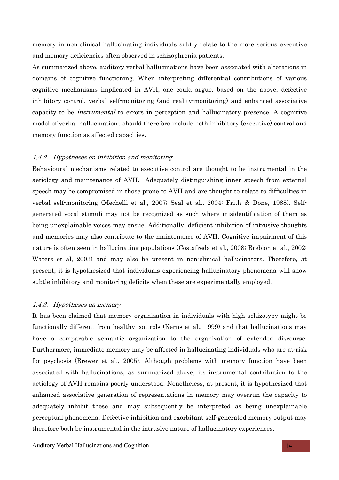memory in non-clinical hallucinating individuals subtly relate to the more serious executive and memory deficiencies often observed in schizophrenia patients.

As summarized above, auditory verbal hallucinations have been associated with alterations in domains of cognitive functioning. When interpreting differential contributions of various cognitive mechanisms implicated in AVH, one could argue, based on the above, defective inhibitory control, verbal self-monitoring (and reality-monitoring) and enhanced associative capacity to be instrumental to errors in perception and hallucinatory presence. A cognitive model of verbal hallucinations should therefore include both inhibitory (executive) control and memory function as affected capacities.

#### 1.4.2. Hypotheses on inhibition and monitoring

Behavioural mechanisms related to executive control are thought to be instrumental in the aetiology and maintenance of AVH. Adequately distinguishing inner speech from external speech may be compromised in those prone to AVH and are thought to relate to difficulties in verbal self-monitoring (Mechelli et al., 2007; Seal et al., 2004; Frith & Done, 1988). Selfgenerated vocal stimuli may not be recognized as such where misidentification of them as being unexplainable voices may ensue. Additionally, deficient inhibition of intrusive thoughts and memories may also contribute to the maintenance of AVH. Cognitive impairment of this nature is often seen in hallucinating populations (Costafreda et al., 2008; Brebion et al., 2002; Waters et al, 2003) and may also be present in non-clinical hallucinators. Therefore, at present, it is hypothesized that individuals experiencing hallucinatory phenomena will show subtle inhibitory and monitoring deficits when these are experimentally employed.

#### 1.4.3. Hypotheses on memory

It has been claimed that memory organization in individuals with high schizotypy might be functionally different from healthy controls (Kerns et al., 1999) and that hallucinations may have a comparable semantic organization to the organization of extended discourse. Furthermore, immediate memory may be affected in hallucinating individuals who are at-risk for psychosis (Brewer et al., 2005). Although problems with memory function have been associated with hallucinations, as summarized above, its instrumental contribution to the aetiology of AVH remains poorly understood. Nonetheless, at present, it is hypothesized that enhanced associative generation of representations in memory may overrun the capacity to adequately inhibit these and may subsequently be interpreted as being unexplainable perceptual phenomena. Defective inhibition and exorbitant self-generated memory output may therefore both be instrumental in the intrusive nature of hallucinatory experiences.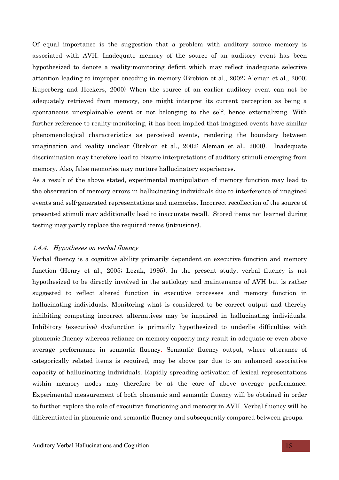Of equal importance is the suggestion that a problem with auditory source memory is associated with AVH. Inadequate memory of the source of an auditory event has been hypothesized to denote a reality-monitoring deficit which may reflect inadequate selective attention leading to improper encoding in memory (Brebion et al., 2002; Aleman et al., 2000; Kuperberg and Heckers, 2000) When the source of an earlier auditory event can not be adequately retrieved from memory, one might interpret its current perception as being a spontaneous unexplainable event or not belonging to the self, hence externalizing. With further reference to reality-monitoring, it has been implied that imagined events have similar phenomenological characteristics as perceived events, rendering the boundary between imagination and reality unclear (Brebion et al., 2002; Aleman et al., 2000). Inadequate discrimination may therefore lead to bizarre interpretations of auditory stimuli emerging from memory. Also, false memories may nurture hallucinatory experiences.

As a result of the above stated, experimental manipulation of memory function may lead to the observation of memory errors in hallucinating individuals due to interference of imagined events and self-generated representations and memories. Incorrect recollection of the source of presented stimuli may additionally lead to inaccurate recall. Stored items not learned during testing may partly replace the required items (intrusions).

# 1.4.4. Hypotheses on verbal fluency

Verbal fluency is a cognitive ability primarily dependent on executive function and memory function (Henry et al., 2005; Lezak, 1995). In the present study, verbal fluency is not hypothesized to be directly involved in the aetiology and maintenance of AVH but is rather suggested to reflect altered function in executive processes and memory function in hallucinating individuals. Monitoring what is considered to be correct output and thereby inhibiting competing incorrect alternatives may be impaired in hallucinating individuals. Inhibitory (executive) dysfunction is primarily hypothesized to underlie difficulties with phonemic fluency whereas reliance on memory capacity may result in adequate or even above average performance in semantic fluency. Semantic fluency output, where utterance of categorically related items is required, may be above par due to an enhanced associative capacity of hallucinating individuals. Rapidly spreading activation of lexical representations within memory nodes may therefore be at the core of above average performance. Experimental measurement of both phonemic and semantic fluency will be obtained in order to further explore the role of executive functioning and memory in AVH. Verbal fluency will be differentiated in phonemic and semantic fluency and subsequently compared between groups.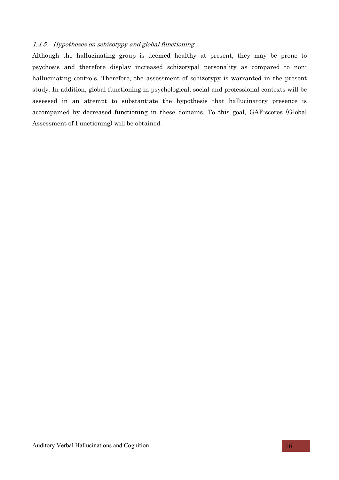# 1.4.5. Hypotheses on schizotypy and global functioning

Although the hallucinating group is deemed healthy at present, they may be prone to psychosis and therefore display increased schizotypal personality as compared to nonhallucinating controls. Therefore, the assessment of schizotypy is warranted in the present study. In addition, global functioning in psychological, social and professional contexts will be assessed in an attempt to substantiate the hypothesis that hallucinatory presence is accompanied by decreased functioning in these domains. To this goal, GAF-scores (Global Assessment of Functioning) will be obtained.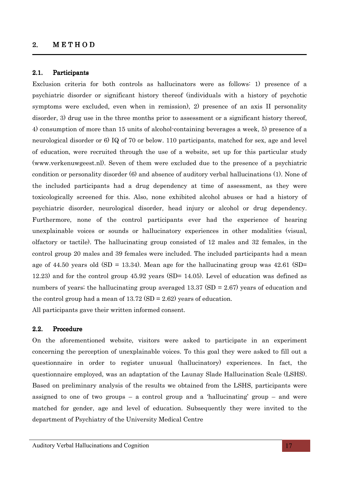#### $2.$  METHOD

#### 2.1. Participants

Exclusion criteria for both controls as hallucinators were as follows: 1) presence of a psychiatric disorder or significant history thereof (individuals with a history of psychotic symptoms were excluded, even when in remission), 2) presence of an axis II personality disorder, 3) drug use in the three months prior to assessment or a significant history thereof, 4) consumption of more than 15 units of alcohol-containing beverages a week, 5) presence of a neurological disorder or 6) IQ of 70 or below. 110 participants, matched for sex, age and level of education, were recruited through the use of a website, set up for this particular study (www.verkenuwgeest.nl). Seven of them were excluded due to the presence of a psychiatric condition or personality disorder (6) and absence of auditory verbal hallucinations (1). None of the included participants had a drug dependency at time of assessment, as they were toxicologically screened for this. Also, none exhibited alcohol abuses or had a history of psychiatric disorder, neurological disorder, head injury or alcohol or drug dependency. Furthermore, none of the control participants ever had the experience of hearing unexplainable voices or sounds or hallucinatory experiences in other modalities (visual, olfactory or tactile). The hallucinating group consisted of 12 males and 32 females, in the control group 20 males and 39 females were included. The included participants had a mean age of 44.50 years old  $(SD = 13.34)$ . Mean age for the hallucinating group was 42.61  $(SD =$ 12.23) and for the control group 45.92 years (SD= 14.05). Level of education was defined as numbers of years; the hallucinating group averaged  $13.37$  (SD = 2.67) years of education and the control group had a mean of  $13.72$  (SD = 2.62) years of education.

All participants gave their written informed consent.

### 2.2. Procedure

On the aforementioned website, visitors were asked to participate in an experiment concerning the perception of unexplainable voices. To this goal they were asked to fill out a questionnaire in order to register unusual (hallucinatory) experiences. In fact, the questionnaire employed, was an adaptation of the Launay Slade Hallucination Scale (LSHS). Based on preliminary analysis of the results we obtained from the LSHS, participants were assigned to one of two groups – a control group and a 'hallucinating' group – and were matched for gender, age and level of education. Subsequently they were invited to the department of Psychiatry of the University Medical Centre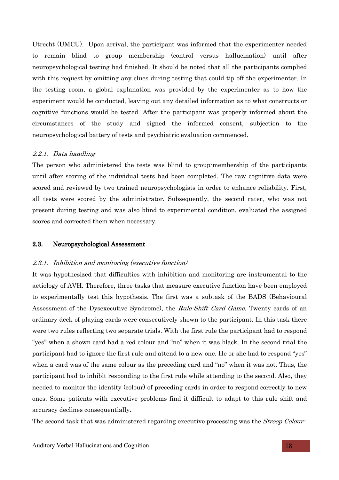Utrecht (UMCU). Upon arrival, the participant was informed that the experimenter needed to remain blind to group membership (control versus hallucination) until after neuropsychological testing had finished. It should be noted that all the participants complied with this request by omitting any clues during testing that could tip off the experimenter. In the testing room, a global explanation was provided by the experimenter as to how the experiment would be conducted, leaving out any detailed information as to what constructs or cognitive functions would be tested. After the participant was properly informed about the circumstances of the study and signed the informed consent, subjection to the neuropsychological battery of tests and psychiatric evaluation commenced.

# 2.2.1. Data handling

The person who administered the tests was blind to group-membership of the participants until after scoring of the individual tests had been completed. The raw cognitive data were scored and reviewed by two trained neuropsychologists in order to enhance reliability. First, all tests were scored by the administrator. Subsequently, the second rater, who was not present during testing and was also blind to experimental condition, evaluated the assigned scores and corrected them when necessary.

# 2.3. Neuropsychological Assessment

# 2.3.1. Inhibition and monitoring (executive function)

It was hypothesized that difficulties with inhibition and monitoring are instrumental to the aetiology of AVH. Therefore, three tasks that measure executive function have been employed to experimentally test this hypothesis. The first was a subtask of the BADS (Behavioural Assessment of the Dysexecutive Syndrome), the *Rule-Shift Card Game*. Twenty cards of an ordinary deck of playing cards were consecutively shown to the participant. In this task there were two rules reflecting two separate trials. With the first rule the participant had to respond "yes" when a shown card had a red colour and "no" when it was black. In the second trial the participant had to ignore the first rule and attend to a new one. He or she had to respond "yes" when a card was of the same colour as the preceding card and "no" when it was not. Thus, the participant had to inhibit responding to the first rule while attending to the second. Also, they needed to monitor the identity (colour) of preceding cards in order to respond correctly to new ones. Some patients with executive problems find it difficult to adapt to this rule shift and accuracy declines consequentially.

The second task that was administered regarding executive processing was the *Stroop Colour-*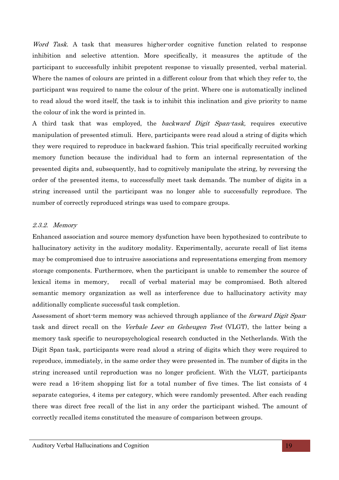Word Task. A task that measures higher-order cognitive function related to response inhibition and selective attention. More specifically, it measures the aptitude of the participant to successfully inhibit prepotent response to visually presented, verbal material. Where the names of colours are printed in a different colour from that which they refer to, the participant was required to name the colour of the print. Where one is automatically inclined to read aloud the word itself, the task is to inhibit this inclination and give priority to name the colour of ink the word is printed in.

A third task that was employed, the backward Digit Span-task, requires executive manipulation of presented stimuli. Here, participants were read aloud a string of digits which they were required to reproduce in backward fashion. This trial specifically recruited working memory function because the individual had to form an internal representation of the presented digits and, subsequently, had to cognitively manipulate the string, by reversing the order of the presented items, to successfully meet task demands. The number of digits in a string increased until the participant was no longer able to successfully reproduce. The number of correctly reproduced strings was used to compare groups.

#### 2.3.2. Memory

Enhanced association and source memory dysfunction have been hypothesized to contribute to hallucinatory activity in the auditory modality. Experimentally, accurate recall of list items may be compromised due to intrusive associations and representations emerging from memory storage components. Furthermore, when the participant is unable to remember the source of lexical items in memory, recall of verbal material may be compromised. Both altered semantic memory organization as well as interference due to hallucinatory activity may additionally complicate successful task completion.

Assessment of short-term memory was achieved through appliance of the *forward Digit Span*task and direct recall on the Verbale Leer en Geheugen Test (VLGT), the latter being a memory task specific to neuropsychological research conducted in the Netherlands. With the Digit Span task, participants were read aloud a string of digits which they were required to reproduce, immediately, in the same order they were presented in. The number of digits in the string increased until reproduction was no longer proficient. With the VLGT, participants were read a 16-item shopping list for a total number of five times. The list consists of 4 separate categories, 4 items per category, which were randomly presented. After each reading there was direct free recall of the list in any order the participant wished. The amount of correctly recalled items constituted the measure of comparison between groups.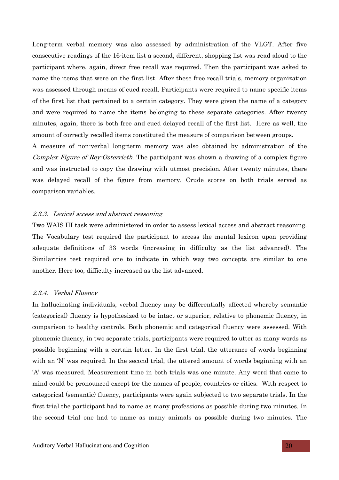Long-term verbal memory was also assessed by administration of the VLGT. After five consecutive readings of the 16-item list a second, different, shopping list was read aloud to the participant where, again, direct free recall was required. Then the participant was asked to name the items that were on the first list. After these free recall trials, memory organization was assessed through means of cued recall. Participants were required to name specific items of the first list that pertained to a certain category. They were given the name of a category and were required to name the items belonging to these separate categories. After twenty minutes, again, there is both free and cued delayed recall of the first list. Here as well, the amount of correctly recalled items constituted the measure of comparison between groups.

A measure of non-verbal long-term memory was also obtained by administration of the Complex Figure of Rey-Osterrieth. The participant was shown a drawing of a complex figure and was instructed to copy the drawing with utmost precision. After twenty minutes, there was delayed recall of the figure from memory. Crude scores on both trials served as comparison variables.

#### 2.3.3. Lexical access and abstract reasoning

Two WAIS III task were administered in order to assess lexical access and abstract reasoning. The Vocabulary test required the participant to access the mental lexicon upon providing adequate definitions of 33 words (increasing in difficulty as the list advanced). The Similarities test required one to indicate in which way two concepts are similar to one another. Here too, difficulty increased as the list advanced.

#### 2.3.4. Verbal Fluency

In hallucinating individuals, verbal fluency may be differentially affected whereby semantic (categorical) fluency is hypothesized to be intact or superior, relative to phonemic fluency, in comparison to healthy controls. Both phonemic and categorical fluency were assessed. With phonemic fluency, in two separate trials, participants were required to utter as many words as possible beginning with a certain letter. In the first trial, the utterance of words beginning with an 'N' was required. In the second trial, the uttered amount of words beginning with an 'A' was measured. Measurement time in both trials was one minute. Any word that came to mind could be pronounced except for the names of people, countries or cities. With respect to categorical (semantic) fluency, participants were again subjected to two separate trials. In the first trial the participant had to name as many professions as possible during two minutes. In the second trial one had to name as many animals as possible during two minutes. The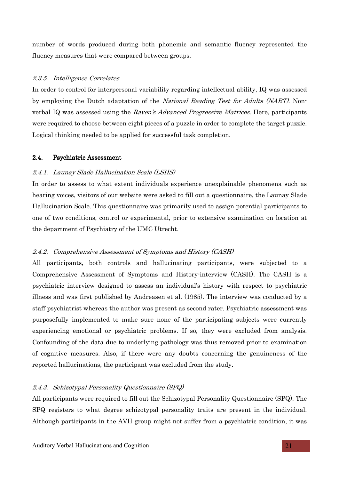number of words produced during both phonemic and semantic fluency represented the fluency measures that were compared between groups.

## 2.3.5. Intelligence Correlates

In order to control for interpersonal variability regarding intellectual ability, IQ was assessed by employing the Dutch adaptation of the National Reading Test for Adults (NART). Nonverbal IQ was assessed using the Raven's Advanced Progressive Matrices. Here, participants were required to choose between eight pieces of a puzzle in order to complete the target puzzle. Logical thinking needed to be applied for successful task completion.

#### 2.4. Psychiatric Assessment

#### 2.4.1. Launay Slade Hallucination Scale (LSHS)

In order to assess to what extent individuals experience unexplainable phenomena such as hearing voices, visitors of our website were asked to fill out a questionnaire, the Launay Slade Hallucination Scale. This questionnaire was primarily used to assign potential participants to one of two conditions, control or experimental, prior to extensive examination on location at the department of Psychiatry of the UMC Utrecht.

# 2.4.2. Comprehensive Assessment of Symptoms and History (CASH)

All participants, both controls and hallucinating participants, were subjected to a Comprehensive Assessment of Symptoms and History-interview (CASH). The CASH is a psychiatric interview designed to assess an individual's history with respect to psychiatric illness and was first published by Andreasen et al. (1985). The interview was conducted by a staff psychiatrist whereas the author was present as second rater. Psychiatric assessment was purposefully implemented to make sure none of the participating subjects were currently experiencing emotional or psychiatric problems. If so, they were excluded from analysis. Confounding of the data due to underlying pathology was thus removed prior to examination of cognitive measures. Also, if there were any doubts concerning the genuineness of the reported hallucinations, the participant was excluded from the study.

# 2.4.3. Schizotypal Personality Questionnaire (SPQ)

All participants were required to fill out the Schizotypal Personality Questionnaire (SPQ). The SPQ registers to what degree schizotypal personality traits are present in the individual. Although participants in the AVH group might not suffer from a psychiatric condition, it was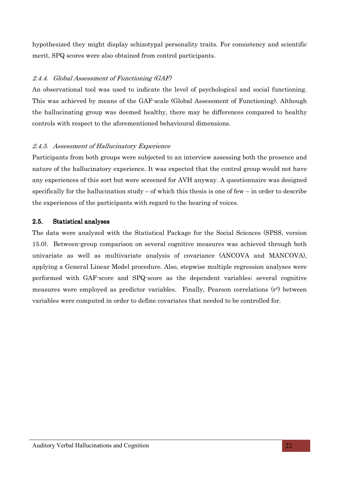hypothesized they might display schizotypal personality traits. For consistency and scientific merit, SPQ scores were also obtained from control participants.

# 2.4.4. Global Assessment of Functioning (GAF)

An observational tool was used to indicate the level of psychological and social functioning. This was achieved by means of the GAF-scale (Global Assessment of Functioning). Although the hallucinating group was deemed healthy, there may be differences compared to healthy controls with respect to the aforementioned behavioural dimensions.

# 2.4.5. Assessment of Hallucinatory Experience

Participants from both groups were subjected to an interview assessing both the presence and nature of the hallucinatory experience. It was expected that the control group would not have any experiences of this sort but were screened for AVH anyway. A questionnaire was designed specifically for the hallucination study – of which this thesis is one of few – in order to describe the experiences of the participants with regard to the hearing of voices.

# 2.5. Statistical analyses

The data were analyzed with the Statistical Package for the Social Sciences (SPSS, version 15.0). Between-group comparison on several cognitive measures was achieved through both univariate as well as multivariate analysis of covariance (ANCOVA and MANCOVA), applying a General Linear Model procedure. Also, stepwise multiple regression analyses were performed with GAF-score and SPQ-score as the dependent variables; several cognitive measures were employed as predictor variables. Finally, Pearson correlations  $(r^2)$  between variables were computed in order to define covariates that needed to be controlled for.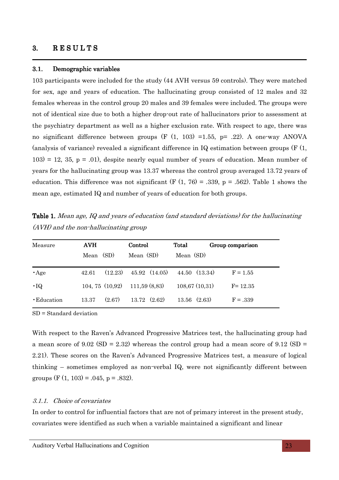#### 3. RESULTS

#### 3.1. Demographic variables

103 participants were included for the study (44 AVH versus 59 controls). They were matched for sex, age and years of education. The hallucinating group consisted of 12 males and 32 females whereas in the control group 20 males and 39 females were included. The groups were not of identical size due to both a higher drop-out rate of hallucinators prior to assessment at the psychiatry department as well as a higher exclusion rate. With respect to age, there was no significant difference between groups  $(F (1, 103) = 1.55, p = .22)$ . A one-way ANOVA (analysis of variance) revealed a significant difference in IQ estimation between groups (F (1,  $103$  = 12, 35, p = .01), despite nearly equal number of years of education. Mean number of years for the hallucinating group was 13.37 whereas the control group averaged 13.72 years of education. This difference was not significant (F  $(1, 76) = .339$ , p = .562). Table 1 shows the mean age, estimated IQ and number of years of education for both groups.

(AVH) and the non-hallucinating group

Table 1. Mean age, IQ and years of education (and standard deviations) for the hallucinating

| Measure     | <b>AVH</b> |                      | Control               | Total            | Group comparison |
|-------------|------------|----------------------|-----------------------|------------------|------------------|
|             | Mean       | (SD)                 | Mean (SD)             | Mean (SD)        |                  |
| $\cdot$ Age | 42.61      | (12.23)              | $45.92 \quad (14.05)$ | 44.50 (13.34)    | $F = 1.55$       |
| $\cdot$ IQ  |            | $104, 75$ $(10, 92)$ | 111,59(8,83)          | 108,67(10,31)    | $F = 12.35$      |
| • Education | 13.37      | (2.67)               | $13.72 \quad (2.62)$  | $13.56$ $(2.63)$ | $F = .339$       |

SD = Standard deviation

With respect to the Raven's Advanced Progressive Matrices test, the hallucinating group had a mean score of 9.02 (SD = 2.32) whereas the control group had a mean score of 9.12 (SD = 2.21). These scores on the Raven's Advanced Progressive Matrices test, a measure of logical thinking – sometimes employed as non-verbal IQ, were not significantly different between groups  $(F (1, 103) = .045, p = .832)$ .

#### 3.1.1. Choice of covariates

In order to control for influential factors that are not of primary interest in the present study, covariates were identified as such when a variable maintained a significant and linear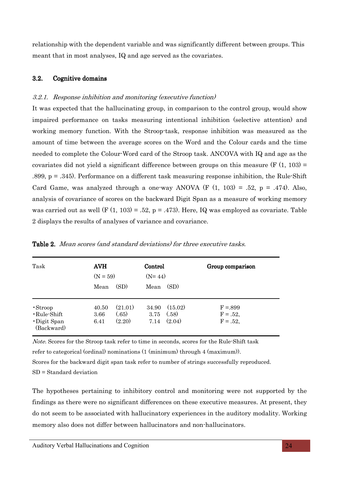relationship with the dependent variable and was significantly different between groups. This meant that in most analyses, IQ and age served as the covariates.

#### 3.2. Cognitive domains

#### 3.2.1. Response inhibition and monitoring (executive function)

It was expected that the hallucinating group, in comparison to the control group, would show impaired performance on tasks measuring intentional inhibition (selective attention) and working memory function. With the Stroop-task, response inhibition was measured as the amount of time between the average scores on the Word and the Colour cards and the time needed to complete the Colour-Word card of the Stroop task. ANCOVA with IQ and age as the covariates did not yield a significant difference between groups on this measure  $(F (1, 103) =$ .899, p = .345). Performance on a different task measuring response inhibition, the Rule-Shift Card Game, was analyzed through a one-way ANOVA (F  $(1, 103) = .52$ , p = .474). Also, analysis of covariance of scores on the backward Digit Span as a measure of working memory was carried out as well (F  $(1, 103) = .52$ , p = .473). Here, IQ was employed as covariate. Table 2 displays the results of analyses of variance and covariance.

| Task                                                                     | <b>AVH</b><br>$(N = 59)$<br>Mean | (SD)                       | Control<br>$(N=44)$<br>Mean | (SD)                       | Group comparison                        |
|--------------------------------------------------------------------------|----------------------------------|----------------------------|-----------------------------|----------------------------|-----------------------------------------|
| $\cdot$ Stroop<br>$\cdot$ Rule-Shift<br>$\cdot$ Digit Span<br>(Backward) | 40.50<br>3.66<br>6.41            | (21.01)<br>(.65)<br>(2.20) | 34.90<br>3.75<br>7.14       | (15.02)<br>(.58)<br>(2.04) | $F = 0.899$<br>$F = .52,$<br>$F = .52,$ |

Table 2. Mean scores (and standard deviations) for three executive tasks.

Note. Scores for the Stroop task refer to time in seconds, scores for the Rule-Shift task refer to categorical (ordinal) nominations (1 (minimum) through 4 (maximum)).

Scores for the backward digit span task refer to number of strings successfully reproduced. SD = Standard deviation

The hypotheses pertaining to inhibitory control and monitoring were not supported by the findings as there were no significant differences on these executive measures. At present, they do not seem to be associated with hallucinatory experiences in the auditory modality. Working memory also does not differ between hallucinators and non-hallucinators.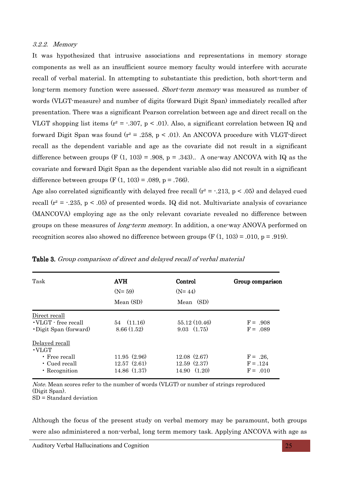#### 3.2.2. Memory

It was hypothesized that intrusive associations and representations in memory storage components as well as an insufficient source memory faculty would interfere with accurate recall of verbal material. In attempting to substantiate this prediction, both short-term and long-term memory function were assessed. *Short-term memory* was measured as number of words (VLGT-measure) and number of digits (forward Digit Span) immediately recalled after presentation. There was a significant Pearson correlation between age and direct recall on the VLGT shopping list items ( $r^2 = -0.307$ ,  $p < 0.01$ ). Also, a significant correlation between IQ and forward Digit Span was found  $(r^2 = .258, p < .01)$ . An ANCOVA procedure with VLGT-direct recall as the dependent variable and age as the covariate did not result in a significant difference between groups (F  $(1, 103) = .908$ , p = .343).. A one-way ANCOVA with IQ as the covariate and forward Digit Span as the dependent variable also did not result in a significant difference between groups (F  $(1, 103) = .089$ , p = .766).

Age also correlated significantly with delayed free recall  $(r^2 = -0.213, p < 0.05)$  and delayed cued recall ( $r^2$  =  $-0.235$ , p < .05) of presented words. IQ did not. Multivariate analysis of covariance (MANCOVA) employing age as the only relevant covariate revealed no difference between groups on these measures of *long-term memory*. In addition, a one-way ANOVA performed on recognition scores also showed no difference between groups  $(F(1, 103) = .010, p = .919)$ .

| Task                                                                                          | <b>AVH</b><br>$(N=59)$<br>Mean (SD)       | Control<br>$(N=44)$<br>Mean (SD)          | Group comparison                      |
|-----------------------------------------------------------------------------------------------|-------------------------------------------|-------------------------------------------|---------------------------------------|
| Direct recall<br>$\cdot$ VLGT $\cdot$ free recall<br>• Digit Span (forward)                   | 54(11.16)<br>8.66(1.52)                   | 55.12 (10.46)<br>$9.03 \quad (1.75)$      | $F = .908$<br>$F = .089$              |
| Delayed recall<br>$\cdot$ VLGT<br>$\cdot$ Free recall<br>$\cdot$ Cued recall<br>• Recognition | 11.95(2.96)<br>12.57(2.61)<br>14.86(1.37) | 12.08(2.67)<br>12.59(2.37)<br>14.90(1.20) | $F = .26$<br>$F = .124$<br>$F = .010$ |

|  |  |  | Table 3. Group comparison of direct and delayed recall of verbal material |
|--|--|--|---------------------------------------------------------------------------|
|  |  |  |                                                                           |

Note. Mean scores refer to the number of words (VLGT) or number of strings reproduced (Digit Span).

SD = Standard deviation

Although the focus of the present study on verbal memory may be paramount, both groups were also administered a non-verbal, long term memory task. Applying ANCOVA with age as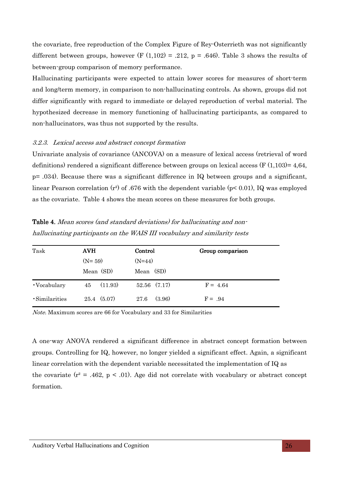the covariate, free reproduction of the Complex Figure of Rey-Osterrieth was not significantly different between groups, however (F  $(1,102) = .212$ , p = .646). Table 3 shows the results of between-group comparison of memory performance.

Hallucinating participants were expected to attain lower scores for measures of short-term and long/term memory, in comparison to non-hallucinating controls. As shown, groups did not differ significantly with regard to immediate or delayed reproduction of verbal material. The hypothesized decrease in memory functioning of hallucinating participants, as compared to non-hallucinators, was thus not supported by the results.

#### 3.2.3. Lexical access and abstract concept formation

Univariate analysis of covariance (ANCOVA) on a measure of lexical access (retrieval of word definitions) rendered a significant difference between groups on lexical access (F  $(1.103) = 4.64$ , p= .034). Because there was a significant difference in IQ between groups and a significant, linear Pearson correlation  $(r^2)$  of .676 with the dependent variable (p $\leq$  0.01), IQ was employed as the covariate. Table 4 shows the mean scores on these measures for both groups.

| Task          | <b>AVH</b>          | Control          | Group comparison |
|---------------|---------------------|------------------|------------------|
|               | $(N=59)$            | $(N=44)$         |                  |
|               | Mean (SD)           | Mean (SD)        |                  |
| • Vocabulary  | (11.93)<br>45       | $52.56$ $(7.17)$ | $F = 4.64$       |
| ·Similarities | $25.4 \quad (5.07)$ | (3.96)<br>27.6   | $F = .94$        |

Table 4. Mean scores (and standard deviations) for hallucinating and nonhallucinating participants on the WAIS III vocabulary and similarity tests

Note. Maximum scores are 66 for Vocabulary and 33 for Similarities

A one-way ANOVA rendered a significant difference in abstract concept formation between groups. Controlling for IQ, however, no longer yielded a significant effect. Again, a significant linear correlation with the dependent variable necessitated the implementation of IQ as the covariate  $(r^2 = .462, p < .01)$ . Age did not correlate with vocabulary or abstract concept formation.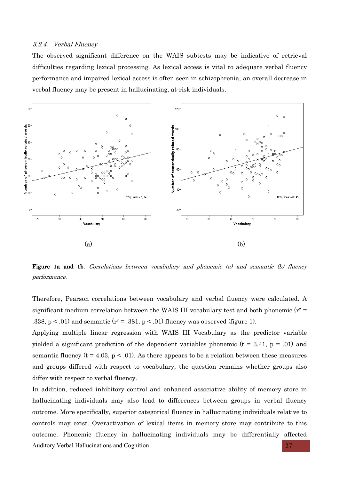#### 3.2.4. Verbal Fluency

The observed significant difference on the WAIS subtests may be indicative of retrieval difficulties regarding lexical processing. As lexical access is vital to adequate verbal fluency performance and impaired lexical access is often seen in schizophrenia, an overall decrease in verbal fluency may be present in hallucinating, at-risk individuals.



**Figure 1a and 1b.** Correlations between vocabulary and phonemic (a) and semantic (b) fluency performance.

Therefore, Pearson correlations between vocabulary and verbal fluency were calculated. A significant medium correlation between the WAIS III vocabulary test and both phonemic ( $r^2$  = .338,  $p < .01$ ) and semantic ( $r^2 = .381$ ,  $p < .01$ ) fluency was observed (figure 1).

Applying multiple linear regression with WAIS III Vocabulary as the predictor variable yielded a significant prediction of the dependent variables phonemic  $(t = 3.41, p = .01)$  and semantic fluency ( $t = 4.03$ ,  $p < .01$ ). As there appears to be a relation between these measures and groups differed with respect to vocabulary, the question remains whether groups also differ with respect to verbal fluency.

In addition, reduced inhibitory control and enhanced associative ability of memory store in hallucinating individuals may also lead to differences between groups in verbal fluency outcome. More specifically, superior categorical fluency in hallucinating individuals relative to controls may exist. Overactivation of lexical items in memory store may contribute to this outcome. Phonemic fluency in hallucinating individuals may be differentially affected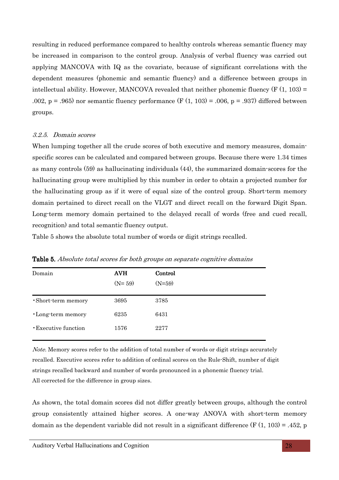resulting in reduced performance compared to healthy controls whereas semantic fluency may be increased in comparison to the control group. Analysis of verbal fluency was carried out applying MANCOVA with IQ as the covariate, because of significant correlations with the dependent measures (phonemic and semantic fluency) and a difference between groups in intellectual ability. However, MANCOVA revealed that neither phonemic fluency  $(F(1, 103) =$ .002, p = .965) nor semantic fluency performance (F  $(1, 103)$  = .006, p = .937) differed between groups.

#### 3.2.5. Domain scores

When lumping together all the crude scores of both executive and memory measures, domainspecific scores can be calculated and compared between groups. Because there were 1.34 times as many controls (59) as hallucinating individuals (44), the summarized domain-scores for the hallucinating group were multiplied by this number in order to obtain a projected number for the hallucinating group as if it were of equal size of the control group. Short-term memory domain pertained to direct recall on the VLGT and direct recall on the forward Digit Span. Long-term memory domain pertained to the delayed recall of words (free and cued recall, recognition) and total semantic fluency output.

Table 5 shows the absolute total number of words or digit strings recalled.

| Domain                      | <b>AVH</b><br>$(N=59)$ | Control<br>$(N=59)$ |
|-----------------------------|------------------------|---------------------|
| ·Short-term memory          | 3695                   | 3785                |
| •Long-term memory           | 6235                   | 6431                |
| <b>· Executive function</b> | 1576                   | 2277                |

Table 5. Absolute total scores for both groups on separate cognitive domains

Note. Memory scores refer to the addition of total number of words or digit strings accurately recalled. Executive scores refer to addition of ordinal scores on the Rule-Shift, number of digit strings recalled backward and number of words pronounced in a phonemic fluency trial. All corrected for the difference in group sizes.

As shown, the total domain scores did not differ greatly between groups, although the control group consistently attained higher scores. A one-way ANOVA with short-term memory domain as the dependent variable did not result in a significant difference  $(F(1, 103) = .452, p$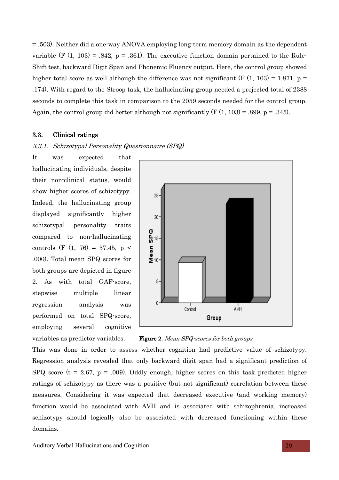= .503). Neither did a one-way ANOVA employing long-term memory domain as the dependent variable (F  $(1, 103) = .842$ , p = .361). The executive function domain pertained to the Rule-Shift test, backward Digit Span and Phonemic Fluency output. Here, the control group showed higher total score as well although the difference was not significant (F  $(1, 103) = 1.871$ , p = .174). With regard to the Stroop task, the hallucinating group needed a projected total of 2388 seconds to complete this task in comparison to the 2059 seconds needed for the control group. Again, the control group did better although not significantly  $(F(1, 103) = .899, p = .345)$ .

#### 3.3. Clinical ratings

#### 3.3.1. Schizotypal Personality Questionnaire (SPQ)

It was expected that hallucinating individuals, despite their non-clinical status, would show higher scores of schizotypy. Indeed, the hallucinating group displayed significantly higher schizotypal personality traits compared to non-hallucinating controls (F  $(1, 76) = 57.45$ , p < .000). Total mean SPQ scores for both groups are depicted in figure 2. As with total GAF-score, stepwise multiple linear regression analysis was performed on total SPQ-score, employing several cognitive





This was done in order to assess whether cognition had predictive value of schizotypy. Regression analysis revealed that only backward digit span had a significant prediction of SPQ score ( $t = 2.67$ ,  $p = .009$ ). Oddly enough, higher scores on this task predicted higher ratings of schizotypy as there was a positive (but not significant) correlation between these measures. Considering it was expected that decreased executive (and working memory) function would be associated with AVH and is associated with schizophrenia, increased schizotypy should logically also be associated with decreased functioning within these domains.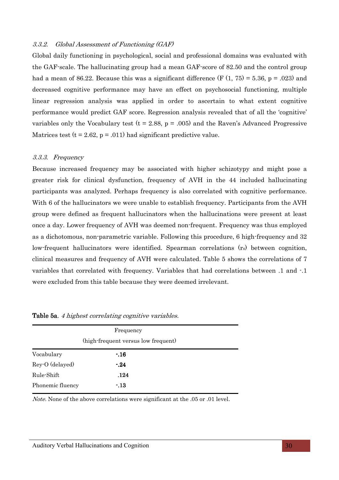#### 3.3.2. Global Assessment of Functioning (GAF)

Global daily functioning in psychological, social and professional domains was evaluated with the GAF-scale. The hallucinating group had a mean GAF-score of 82.50 and the control group had a mean of 86.22. Because this was a significant difference  $(F (1, 75) = 5.36, p = .023)$  and decreased cognitive performance may have an effect on psychosocial functioning, multiple linear regression analysis was applied in order to ascertain to what extent cognitive performance would predict GAF score. Regression analysis revealed that of all the 'cognitive' variables only the Vocabulary test ( $t = 2.88$ ,  $p = .005$ ) and the Raven's Advanced Progressive Matrices test ( $t = 2.62$ ,  $p = .011$ ) had significant predictive value.

#### 3.3.3. Frequency

Because increased frequency may be associated with higher schizotypy and might pose a greater risk for clinical dysfunction, frequency of AVH in the 44 included hallucinating participants was analyzed. Perhaps frequency is also correlated with cognitive performance. With 6 of the hallucinators we were unable to establish frequency. Participants from the AVH group were defined as frequent hallucinators when the hallucinations were present at least once a day. Lower frequency of AVH was deemed non-frequent. Frequency was thus employed as a dichotomous, non-parametric variable. Following this procedure, 6 high-frequency and 32 low-frequent hallucinators were identified. Spearman correlations (rs) between cognition, clinical measures and frequency of AVH were calculated. Table 5 shows the correlations of 7 variables that correlated with frequency. Variables that had correlations between .1 and -.1 were excluded from this table because they were deemed irrelevant.

|                  | Frequency<br>(high-frequent versus low frequent) |  |
|------------------|--------------------------------------------------|--|
| Vocabulary       | $-16$                                            |  |
| Rey-O (delayed)  | $-24$                                            |  |
| Rule-Shift       | .124                                             |  |
| Phonemic fluency | $-13$                                            |  |

Table 5a. 4 highest correlating cognitive variables.

Note. None of the above correlations were significant at the .05 or .01 level.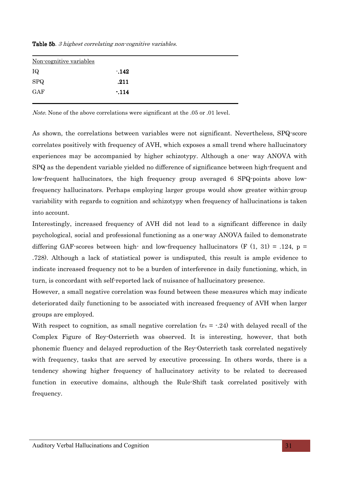| Non-cognitive variables |        |
|-------------------------|--------|
| IQ                      | $-142$ |
| <b>SPQ</b>              | .211   |
| GAF                     | $-114$ |

Table 5b. 3 highest correlating non-cognitive variables.

Note. None of the above correlations were significant at the .05 or .01 level.

As shown, the correlations between variables were not significant. Nevertheless, SPQ-score correlates positively with frequency of AVH, which exposes a small trend where hallucinatory experiences may be accompanied by higher schizotypy. Although a one- way ANOVA with SPQ as the dependent variable yielded no difference of significance between high-frequent and low-frequent hallucinators, the high frequency group averaged 6 SPQ-points above lowfrequency hallucinators. Perhaps employing larger groups would show greater within-group variability with regards to cognition and schizotypy when frequency of hallucinations is taken into account.

Interestingly, increased frequency of AVH did not lead to a significant difference in daily psychological, social and professional functioning as a one-way ANOVA failed to demonstrate differing GAF-scores between high- and low-frequency hallucinators (F  $(1, 31) = .124$ , p = .728). Although a lack of statistical power is undisputed, this result is ample evidence to indicate increased frequency not to be a burden of interference in daily functioning, which, in turn, is concordant with self-reported lack of nuisance of hallucinatory presence.

However, a small negative correlation was found between these measures which may indicate deteriorated daily functioning to be associated with increased frequency of AVH when larger groups are employed.

With respect to cognition, as small negative correlation  $(r_s = -.24)$  with delayed recall of the Complex Figure of Rey-Osterrieth was observed. It is interesting, however, that both phonemic fluency and delayed reproduction of the Rey-Osterrieth task correlated negatively with frequency, tasks that are served by executive processing. In others words, there is a tendency showing higher frequency of hallucinatory activity to be related to decreased function in executive domains, although the Rule-Shift task correlated positively with frequency.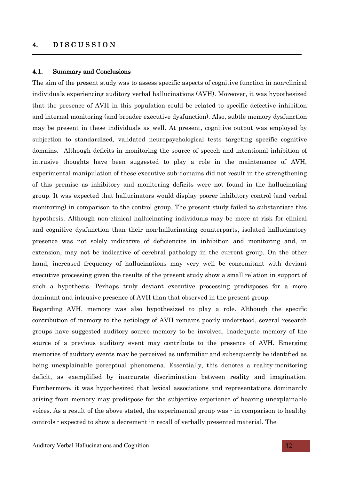# 4. DISCUSSION

#### 4.1. Summary and Conclusions

The aim of the present study was to assess specific aspects of cognitive function in non-clinical individuals experiencing auditory verbal hallucinations (AVH). Moreover, it was hypothesized that the presence of AVH in this population could be related to specific defective inhibition and internal monitoring (and broader executive dysfunction). Also, subtle memory dysfunction may be present in these individuals as well. At present, cognitive output was employed by subjection to standardized, validated neuropsychological tests targeting specific cognitive domains. Although deficits in monitoring the source of speech and intentional inhibition of intrusive thoughts have been suggested to play a role in the maintenance of AVH, experimental manipulation of these executive sub-domains did not result in the strengthening of this premise as inhibitory and monitoring deficits were not found in the hallucinating group. It was expected that hallucinators would display poorer inhibitory control (and verbal monitoring) in comparison to the control group. The present study failed to substantiate this hypothesis. Although non-clinical hallucinating individuals may be more at risk for clinical and cognitive dysfunction than their non-hallucinating counterparts, isolated hallucinatory presence was not solely indicative of deficiencies in inhibition and monitoring and, in extension, may not be indicative of cerebral pathology in the current group. On the other hand, increased frequency of hallucinations may very well be concomitant with deviant executive processing given the results of the present study show a small relation in support of such a hypothesis. Perhaps truly deviant executive processing predisposes for a more dominant and intrusive presence of AVH than that observed in the present group.

Regarding AVH, memory was also hypothesized to play a role. Although the specific contribution of memory to the aetiology of AVH remains poorly understood, several research groups have suggested auditory source memory to be involved. Inadequate memory of the source of a previous auditory event may contribute to the presence of AVH. Emerging memories of auditory events may be perceived as unfamiliar and subsequently be identified as being unexplainable perceptual phenomena. Essentially, this denotes a reality-monitoring deficit, as exemplified by inaccurate discrimination between reality and imagination. Furthermore, it was hypothesized that lexical associations and representations dominantly arising from memory may predispose for the subjective experience of hearing unexplainable voices. As a result of the above stated, the experimental group was - in comparison to healthy controls - expected to show a decrement in recall of verbally presented material. The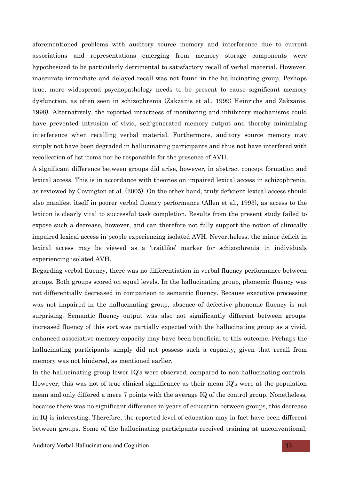aforementioned problems with auditory source memory and interference due to current associations and representations emerging from memory storage components were hypothesized to be particularly detrimental to satisfactory recall of verbal material. However, inaccurate immediate and delayed recall was not found in the hallucinating group. Perhaps true, more widespread psychopathology needs to be present to cause significant memory dysfunction, as often seen in schizophrenia (Zakzanis et al., 1999; Heinrichs and Zakzanis, 1998). Alternatively, the reported intactness of monitoring and inhibitory mechanisms could have prevented intrusion of vivid, self-generated memory output and thereby minimizing interference when recalling verbal material. Furthermore, auditory source memory may simply not have been degraded in hallucinating participants and thus not have interfered with recollection of list items nor be responsible for the presence of AVH.

A significant difference between groups did arise, however, in abstract concept formation and lexical access. This is in accordance with theories on impaired lexical access in schizophrenia, as reviewed by Covington et al. (2005). On the other hand, truly deficient lexical access should also manifest itself in poorer verbal fluency performance (Allen et al., 1993), as access to the lexicon is clearly vital to successful task completion. Results from the present study failed to expose such a decrease, however, and can therefore not fully support the notion of clinically impaired lexical access in people experiencing isolated AVH. Nevertheless, the minor deficit in lexical access may be viewed as a 'traitlike' marker for schizophrenia in individuals experiencing isolated AVH.

Regarding verbal fluency, there was no differentiation in verbal fluency performance between groups. Both groups scored on equal levels. In the hallucinating group, phonemic fluency was not differentially decreased in comparison to semantic fluency. Because executive processing was not impaired in the hallucinating group, absence of defective phonemic fluency is not surprising. Semantic fluency output was also not significantly different between groups; increased fluency of this sort was partially expected with the hallucinating group as a vivid, enhanced associative memory capacity may have been beneficial to this outcome. Perhaps the hallucinating participants simply did not possess such a capacity, given that recall from memory was not hindered, as mentioned earlier.

In the hallucinating group lower IQ's were observed, compared to non-hallucinating controls. However, this was not of true clinical significance as their mean IQ's were at the population mean and only differed a mere 7 points with the average IQ of the control group. Nonetheless, because there was no significant difference in years of education between groups, this decrease in IQ is interesting. Therefore, the reported level of education may in fact have been different between groups. Some of the hallucinating participants received training at unconventional,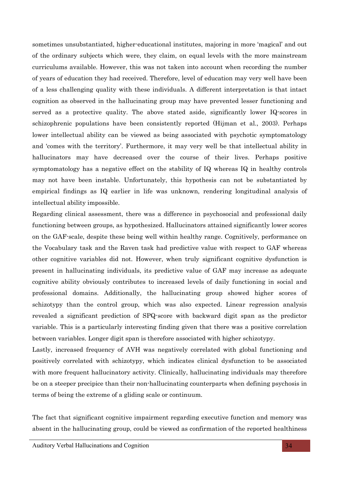sometimes unsubstantiated, higher-educational institutes, majoring in more 'magical' and out of the ordinary subjects which were, they claim, on equal levels with the more mainstream curriculums available. However, this was not taken into account when recording the number of years of education they had received. Therefore, level of education may very well have been of a less challenging quality with these individuals. A different interpretation is that intact cognition as observed in the hallucinating group may have prevented lesser functioning and served as a protective quality. The above stated aside, significantly lower IQ-scores in schizophrenic populations have been consistently reported (Hijman et al., 2003). Perhaps lower intellectual ability can be viewed as being associated with psychotic symptomatology and 'comes with the territory'. Furthermore, it may very well be that intellectual ability in hallucinators may have decreased over the course of their lives. Perhaps positive symptomatology has a negative effect on the stability of IQ whereas IQ in healthy controls may not have been instable. Unfortunately, this hypothesis can not be substantiated by empirical findings as IQ earlier in life was unknown, rendering longitudinal analysis of intellectual ability impossible.

Regarding clinical assessment, there was a difference in psychosocial and professional daily functioning between groups, as hypothesized. Hallucinators attained significantly lower scores on the GAF-scale, despite these being well within healthy range. Cognitively, performance on the Vocabulary task and the Raven task had predictive value with respect to GAF whereas other cognitive variables did not. However, when truly significant cognitive dysfunction is present in hallucinating individuals, its predictive value of GAF may increase as adequate cognitive ability obviously contributes to increased levels of daily functioning in social and professional domains. Additionally, the hallucinating group showed higher scores of schizotypy than the control group, which was also expected. Linear regression analysis revealed a significant prediction of SPQ-score with backward digit span as the predictor variable. This is a particularly interesting finding given that there was a positive correlation between variables. Longer digit span is therefore associated with higher schizotypy.

Lastly, increased frequency of AVH was negatively correlated with global functioning and positively correlated with schizotypy, which indicates clinical dysfunction to be associated with more frequent hallucinatory activity. Clinically, hallucinating individuals may therefore be on a steeper precipice than their non-hallucinating counterparts when defining psychosis in terms of being the extreme of a gliding scale or continuum.

The fact that significant cognitive impairment regarding executive function and memory was absent in the hallucinating group, could be viewed as confirmation of the reported healthiness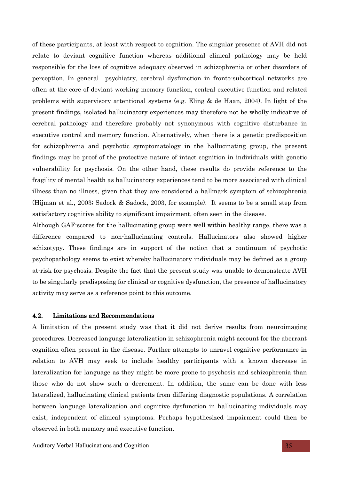of these participants, at least with respect to cognition. The singular presence of AVH did not relate to deviant cognitive function whereas additional clinical pathology may be held responsible for the loss of cognitive adequacy observed in schizophrenia or other disorders of perception. In general psychiatry, cerebral dysfunction in fronto-subcortical networks are often at the core of deviant working memory function, central executive function and related problems with supervisory attentional systems (e.g. Eling & de Haan, 2004). In light of the present findings, isolated hallucinatory experiences may therefore not be wholly indicative of cerebral pathology and therefore probably not synonymous with cognitive disturbance in executive control and memory function. Alternatively, when there is a genetic predisposition for schizophrenia and psychotic symptomatology in the hallucinating group, the present findings may be proof of the protective nature of intact cognition in individuals with genetic vulnerability for psychosis. On the other hand, these results do provide reference to the fragility of mental health as hallucinatory experiences tend to be more associated with clinical illness than no illness, given that they are considered a hallmark symptom of schizophrenia (Hijman et al., 2003; Sadock & Sadock, 2003, for example). It seems to be a small step from satisfactory cognitive ability to significant impairment, often seen in the disease.

Although GAF-scores for the hallucinating group were well within healthy range, there was a difference compared to non-hallucinating controls. Hallucinators also showed higher schizotypy. These findings are in support of the notion that a continuum of psychotic psychopathology seems to exist whereby hallucinatory individuals may be defined as a group at-risk for psychosis. Despite the fact that the present study was unable to demonstrate AVH to be singularly predisposing for clinical or cognitive dysfunction, the presence of hallucinatory activity may serve as a reference point to this outcome.

# 4.2. Limitations and Recommendations

A limitation of the present study was that it did not derive results from neuroimaging procedures. Decreased language lateralization in schizophrenia might account for the aberrant cognition often present in the disease. Further attempts to unravel cognitive performance in relation to AVH may seek to include healthy participants with a known decrease in lateralization for language as they might be more prone to psychosis and schizophrenia than those who do not show such a decrement. In addition, the same can be done with less lateralized, hallucinating clinical patients from differing diagnostic populations. A correlation between language lateralization and cognitive dysfunction in hallucinating individuals may exist, independent of clinical symptoms. Perhaps hypothesized impairment could then be observed in both memory and executive function.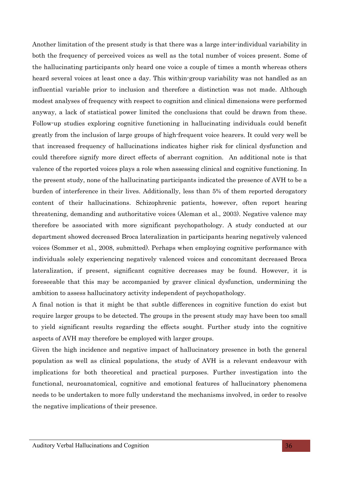Another limitation of the present study is that there was a large inter-individual variability in both the frequency of perceived voices as well as the total number of voices present. Some of the hallucinating participants only heard one voice a couple of times a month whereas others heard several voices at least once a day. This within-group variability was not handled as an influential variable prior to inclusion and therefore a distinction was not made. Although modest analyses of frequency with respect to cognition and clinical dimensions were performed anyway, a lack of statistical power limited the conclusions that could be drawn from these. Follow-up studies exploring cognitive functioning in hallucinating individuals could benefit greatly from the inclusion of large groups of high-frequent voice hearers. It could very well be that increased frequency of hallucinations indicates higher risk for clinical dysfunction and could therefore signify more direct effects of aberrant cognition. An additional note is that valence of the reported voices plays a role when assessing clinical and cognitive functioning. In the present study, none of the hallucinating participants indicated the presence of AVH to be a burden of interference in their lives. Additionally, less than 5% of them reported derogatory content of their hallucinations. Schizophrenic patients, however, often report hearing threatening, demanding and authoritative voices (Aleman et al., 2003). Negative valence may therefore be associated with more significant psychopathology. A study conducted at our department showed decreased Broca lateralization in participants hearing negatively valenced voices (Sommer et al., 2008, submitted). Perhaps when employing cognitive performance with individuals solely experiencing negatively valenced voices and concomitant decreased Broca lateralization, if present, significant cognitive decreases may be found. However, it is foreseeable that this may be accompanied by graver clinical dysfunction, undermining the ambition to assess hallucinatory activity independent of psychopathology.

A final notion is that it might be that subtle differences in cognitive function do exist but require larger groups to be detected. The groups in the present study may have been too small to yield significant results regarding the effects sought. Further study into the cognitive aspects of AVH may therefore be employed with larger groups.

Given the high incidence and negative impact of hallucinatory presence in both the general population as well as clinical populations, the study of AVH is a relevant endeavour with implications for both theoretical and practical purposes. Further investigation into the functional, neuroanatomical, cognitive and emotional features of hallucinatory phenomena needs to be undertaken to more fully understand the mechanisms involved, in order to resolve the negative implications of their presence.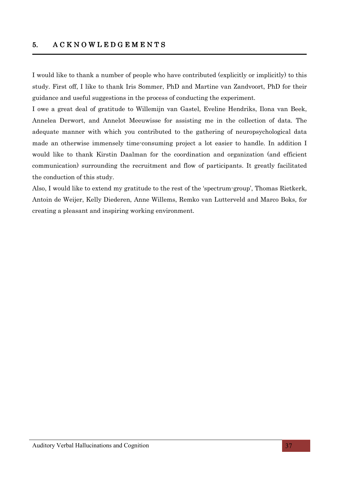# 5. A C K N O W L E D G E M E N T S

I would like to thank a number of people who have contributed (explicitly or implicitly) to this study. First off,I like to thank Iris Sommer, PhD and Martine van Zandvoort, PhD for their guidance and useful suggestions in the process of conducting the experiment.

I owe a great deal of gratitude to Willemijn van Gastel, Eveline Hendriks, Ilona van Beek, Annelea Derwort, and Annelot Meeuwisse for assisting me in the collection of data. The adequate manner with which you contributed to the gathering of neuropsychological data made an otherwise immensely time-consuming project a lot easier to handle. In addition I would like to thank Kirstin Daalman for the coordination and organization (and efficient communication) surrounding the recruitment and flow of participants. It greatly facilitated the conduction of this study.

Also, I would like to extend my gratitude to the rest of the 'spectrum-group', Thomas Rietkerk, Antoin de Weijer, Kelly Diederen, Anne Willems, Remko van Lutterveld and Marco Boks, for creating a pleasant and inspiring working environment.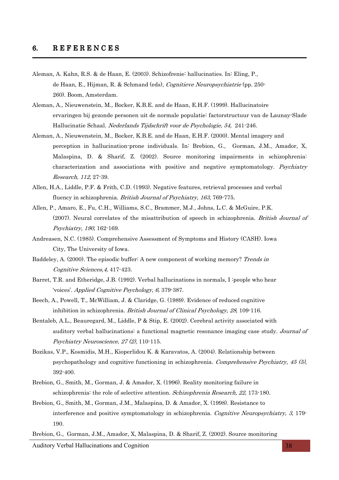- Aleman, A. Kahn, R.S. & de Haan, E. (2003). Schizofrenie: hallucinaties. In: Eling, P., de Haan, E., Hijman, R. & Schmand (eds), Cognitieve Neuropsychiatrie (pp. 250- 260). Boom, Amsterdam.
- Aleman, A., Nieuwenstein, M., Bocker, K.B.E. and de Haan, E.H.F. (1999). Hallucinatoire ervaringen bij gezonde personen uit de normale populatie: factorstructuur van de Launay-Slade Hallucinatie Schaal. Nederlands Tijdschrift voor de Psychologie, 54, 241-246.
- Aleman, A., Nieuwenstein, M., Bocker, K.B.E. and de Haan, E.H.F. (2000). Mental imagery and perception in hallucination-prone individuals. In: Brebion, G., Gorman, J.M., Amador, X, Malaspina, D. & Sharif, Z. (2002). Source monitoring impairments in schizophrenia: characterization and associations with positive and negative symptomatology. Psychiatry Research, 112, 27-39.
- Allen, H.A., Liddle, P.F. & Frith, C.D. (1993). Negative features, retrieval processes and verbal fluency in schizophrenia. British Journal of Psychiatry, 163, 769-775.
- Allen, P., Amaro, E., Fu, C.H., Williams, S.C., Brammer, M.J., Johns, L.C. & McGuire, P.K. (2007). Neural correlates of the misattribution of speech in schizophrenia. British Journal of Psychiatry, 190, 162-169.
- Andreasen, N.C. (1985). Comprehensive Assessment of Symptoms and History (CASH). Iowa City, The University of Iowa.
- Baddeley, A. (2000). The episodic buffer: A new component of working memory? Trends in Cognitive Sciences,4, 417-423.
- Barret, T.R. and Etheridge, J.B. (1992). Verbal hallucinations in normals, I : people who hear 'voices'. Applied Cognitive Psychology, 6, 379-387.
- Beech, A., Powell, T., McWilliam, J. & Claridge, G. (1989). Evidence of reduced cognitive inhibition in schizophrenia. *British Journal of Clinical Psychology, 28*, 109-116.
- Bentaleb, A.L., Beauregard, M., Liddle, P & Stip, E. (2002). Cerebral activity associated with auditory verbal hallucinations: a functional magnetic resonance imaging case study. Journal of Psychiatry Neuroscience, 27 (2), 110-115.
- Bozikas, V.P., Kosmidis, M.H., Kioperlidou K. & Karavatos, A. (2004). Relationship between psychopathology and cognitive functioning in schizophrenia. Comprehensive Psychiatry, 45 (5), 392-400.
- Brebion, G., Smith, M., Gorman, J. & Amador, X. (1996). Reality monitoring failure in schizophrenia: the role of selective attention. Schizophrenia Research, 22, 173-180.
- Brebion, G., Smith, M., Gorman, J.M., Malaspina, D. & Amador, X. (1998). Resistance to interference and positive symptomatology in schizophrenia. Cognitive Neuropsychiatry, 3, 179-190.
- Brebion, G., Gorman, J.M., Amador, X, Malaspina, D. & Sharif, Z. (2002). Source monitoring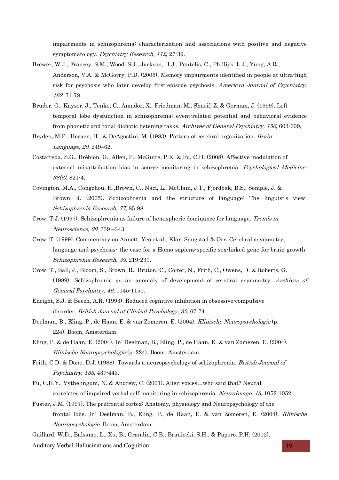impairments in schizophrenia: characterization and associations with positive and negative symptomatology. Psychiatry Research, 112, 27-39.

- Brewer, W.J., Francey, S.M., Wood, S.J., Jackson, H.J., Pantelis, C., Phillips, L.J., Yung, A.R., Anderson, V.A. & McGorry, P.D. (2005). Memory impairments identified in people at ultra-high risk for psychosis who later develop first-episode psychosis. American Journal of Psychiatry, 162, 71-78.
- Bruder, G., Kayser, J., Tenke, C., Amador, X., Friedman, M., Sharif, Z. & Gorman, J. (1999). Left temporal lobe dysfunction in schizophrenia: event-related potential and behavioral evidence from phonetic and tonal dichotic listening tasks. Archives of General Psychiatry, 156, 603-609,
- Bryden, M.P., Hecaen, H., & DeAgostini, M. (1983). Pattern of cerebral organization. Brain Language, 20, 249–62.
- Costafreda, S.G., Brébion, G., Allen, P., McGuire, P.K. & Fu, C.H. (2008). Affective modulation of external misattribution bias in source monitoring in schizophrenia. Psychological Medicine, 38(6), 821-4.
- Covington, M.A., Congzhou, H.,Brown, C., Naci, L., McClain, J.T., Fjordbak, B.S., Semple, J. & Brown, J. (2005). Schizophrenia and the structure of language: The linguist's view. Schizophrenia Research, 77, 85-98.
- Crow, T.J. (1997). Schizophrenia as failure of hemispheric dominance for language. Trends in Neuroscience, 20, 339 –343.
- Crow, T. (1999). Commentary on Annett, Yeo et al., Klar, Saugstad & Orr: Cerebral asymmetry, language and psychosis- the case for a Homo sapiens-specific sex-linked gene for brain growth. Schizophrenia Research, 39, 219-231.
- Crow, T., Ball, J., Bloom, S., Brown, R., Bruton, C., Colter, N., Frith, C., Owens, D. & Roberts, G. (1989). Schizophrenia as an anomaly of development of cerebral asymmetry. Archives of General Psychiatry, 46, 1145-1150.
- Enright, S.J. & Beech, A.R. (1993). Reduced cognitive inhibition in obsessive-compulsive disorder. *British Journal of Clinical Psychology, 32,* 67-74.
- Deelman, B., Eling, P., de Haan, E. & van Zomeren, E. (2004). Klinische Neuropsychologie (p. 224). Boom, Amsterdam.
- Eling, P. & de Haan, E. (2004). In: Deelman, B., Eling, P., de Haan, E. & van Zomeren, E. (2004). Klinische Neuropsychologie (p. 224). Boom, Amsterdam.
- Frith, C.D. & Done, D.J. (1988). Towards a neuropsychology of schizophrenia. British Journal of Psychiatry, 153, 437-443.
- Fu, C.H.Y., Vythelingum, N. & Andrew, C. (2001). Alien voices…who said that? Neural correlates of impaired verbal self-monitoring in schizophrenia. NeuroImage, 13, 1052-1052.
- Fuster, J.M. (1997). The prefrontal cortex: Anatomy, physiology and Neuropsychology of the frontal lobe. In: Deelman, B., Eling, P., de Haan, E. & van Zomeren, E. (2004). Klinische Neuropsychologie. Boom, Amsterdam.

Gaillard, W.D., Balsamo, L., Xu, B., Grandin, C.B., Braniecki, S.H., & Papero, P.H. (2002).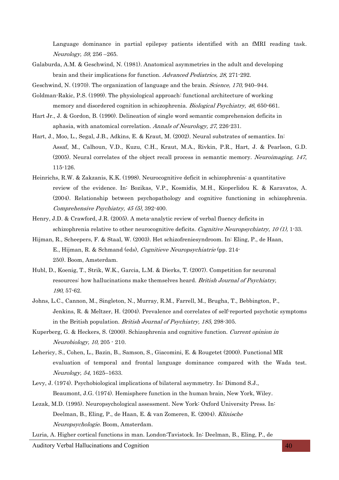Language dominance in partial epilepsy patients identified with an fMRI reading task. Neurology, 59, 256 –265.

- Galaburda, A.M. & Geschwind, N. (1981). Anatomical asymmetries in the adult and developing brain and their implications for function. Advanced Pediatrics, 28, 271-292.
- Geschwind, N. (1970). The organization of language and the brain. *Science*, 170, 940–944.
- Goldman-Rakic, P.S. (1999). The physiological approach: functional architecture of working memory and disordered cognition in schizophrenia. Biological Psychiatry, 46, 650-661.
- Hart Jr., J. & Gordon, B. (1990). Delineation of single word semantic comprehension deficits in aphasia, with anatomical correlation. Annals of Neurology, 27, 226-231.
- Hart, J., Moo, L., Segal, J.B., Adkins, E. & Kraut, M. (2002). Neural substrates of semantics. In: Assaf, M., Calhoun, V.D., Kuzu, C.H., Kraut, M.A., Rivkin, P.R., Hart, J. & Pearlson, G.D. (2005). Neural correlates of the object recall process in semantic memory. Neuroimaging, 147, 115-126.
- Heinrichs, R.W. & Zakzanis, K.K. (1998). Neurocognitive deficit in schizophrenia: a quantitative review of the evidence. In: Bozikas, V.P., Kosmidis, M.H., Kioperlidou K. & Karavatos, A. (2004). Relationship between psychopathology and cognitive functioning in schizophrenia. Comprehensive Psychiatry, 45 (5), 392-400.
- Henry, J.D. & Crawford, J.R. (2005). A meta-analytic review of verbal fluency deficits in schizophrenia relative to other neurocognitive deficits. Cognitive Neuropsychiatry,  $10 \,(1)$ , 1-33.
- Hijman, R., Scheepers, F. & Staal, W. (2003). Het schizofreniesyndroom. In: Eling, P., de Haan, E., Hijman, R. & Schmand (eds), Cognitieve Neuropsychiatrie (pp. 214- 250). Boom, Amsterdam.
- Hubl, D., Koenig, T., Strik, W.K., Garcia, L.M. & Dierks, T. (2007). Competition for neuronal resources: how hallucinations make themselves heard. British Journal of Psychiatry, 190, 57-62.
- Johns, L.C., Cannon, M., Singleton, N., Murray, R.M., Farrell, M., Brugha, T., Bebbington, P., Jenkins, R. & Meltzer, H. (2004). Prevalence and correlates of self-reported psychotic symptoms in the British population. British Journal of Psychiatry, 185, 298-305.
- Kuperberg, G. & Heckers, S. (2000). Schizophrenia and cognitive function. Current opinion in Neurobiology, 10, 205 - 210.
- Lehericy, S., Cohen, L., Bazin, B., Samson, S., Giacomini, E. & Rougetet (2000). Functional MR evaluation of temporal and frontal language dominance compared with the Wada test. Neurology, 54, 1625–1633.
- Levy, J. (1974). Psychobiological implications of bilateral asymmetry. In: Dimond S.J., Beaumont, J.G. (1974). Hemisphere function in the human brain, New York, Wiley.
- Lezak, M.D. (1995). Neuropsychological assessment. New York: Oxford University Press. In: Deelman, B., Eling, P., de Haan, E. & van Zomeren, E. (2004). Klinische Neuropsychologie. Boom, Amsterdam.

Luria, A. Higher cortical functions in man. London:Tavistock. In: Deelman, B., Eling, P., de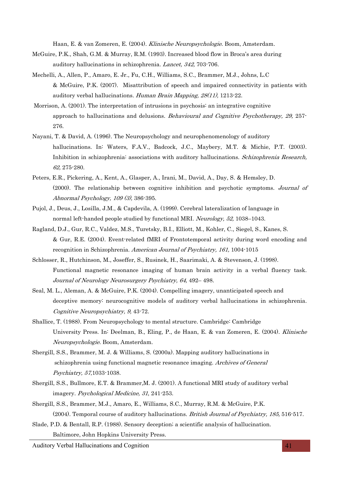Haan, E. & van Zomeren, E. (2004). Klinische Neuropsychologie. Boom, Amsterdam.

- McGuire, P.K., Shah, G.M. & Murray, R.M. (1993). Increased blood flow in Broca's area during auditory hallucinations in schizophrenia. Lancet, 342, 703-706.
- Mechelli, A., Allen, P., Amaro, E. Jr., Fu, C.H., Williams, S.C., Brammer, M.J., Johns, L.C & McGuire, P.K. (2007). Misattribution of speech and impaired connectivity in patients with auditory verbal hallucinations. Human Brain Mapping, 28(11), 1213-22.
- Morrison, A. (2001). The interpretation of intrusions in psychosis: an integrative cognitive approach to hallucinations and delusions. Behavioural and Cognitive Psychotherapy, 29, 257-276.
- Nayani, T. & David, A. (1996). The Neuropsychology and neurophenomenology of auditory hallucinations. In: Waters, F.A.V., Badcock, J.C., Maybery, M.T. & Michie, P.T. (2003). Inhibition in schizophrenia: associations with auditory hallucinations. Schizophrenia Research, 62, 275-280.
- Peters, E.R., Pickering, A., Kent, A., Glasper, A., Irani, M., David, A., Day, S. & Hemsley, D. (2000). The relationship between cognitive inhibition and psychotic symptoms. Journal of Abnormal Psychology, 109 (3), 386-395.
- Pujol, J., Deus, J., Losilla, J.M., & Capdevila, A. (1999). Cerebral lateralization of language in normal left-handed people studied by functional MRI. Neurology, 52, 1038–1043.
- Ragland, D.J., Gur, R.C., Valdez, M.S., Turetsky, B.I., Elliott, M., Kohler, C., Siegel, S., Kanes, S. & Gur, R.E. (2004). Event-related fMRI of Frontotemporal activity during word encoding and recognition in Schizophrenia. American Journal of Psychiatry, 161, 1004-1015
- Schlosser, R., Hutchinson, M., Joseffer, S., Rusinek, H., Saarimaki, A. & Stevenson, J. (1998). Functional magnetic resonance imaging of human brain activity in a verbal fluency task. Journal of Neurology Neurosurgery Psychiatry, 64, 492– 498.
- Seal, M. L., Aleman, A. & McGuire, P.K. (2004). Compelling imagery, unanticipated speech and deceptive memory: neurocognitive models of auditory verbal hallucinations in schizophrenia. Cognitive Neuropsychiatry, 9, 43-72.
- Shallice, T. (1988). From Neuropsychology to mental structure. Cambridge: Cambridge University Press. In: Deelman, B., Eling, P., de Haan, E. & van Zomeren, E. (2004). Klinische Neuropsychologie. Boom, Amsterdam.
- Shergill, S.S., Brammer, M. J. & Williams, S. (2000a). Mapping auditory hallucinations in schizophrenia using functional magnetic resonance imaging. Archives of General Psychiatry, 57,1033-1038.
- Shergill, S.S., Bullmore, E.T. & Brammer,M. J. (2001). A functional MRI study of auditory verbal imagery. Psychological Medicine, 31, 241-253.
- Shergill, S.S., Brammer, M.J., Amaro, E., Williams, S.C., Murray, R.M. & McGuire, P.K. (2004). Temporal course of auditory hallucinations. British Journal of Psychiatry, 185, 516-517.
- Slade, P.D. & Bentall, R.P. (1988). Sensory deception; a scientific analysis of hallucination. Baltimore, John Hopkins University Press.

Auditory Verbal Hallucinations and Cognition 41 and  $\sim$  41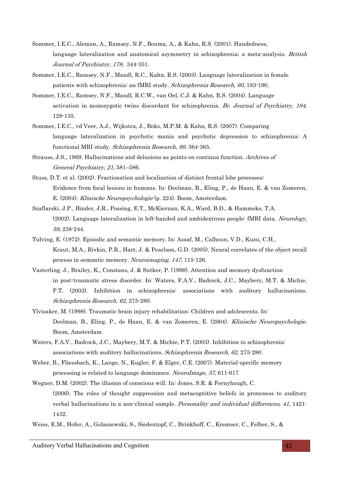- Sommer, I.E.C., Aleman, A., Ramsey, N.F., Bouma, A., & Kahn, R.S. (2001). Handedness, language lateralization and anatomical asymmetry in schizophrenia; a meta-analysis. British Journal of Psychiatry, 178, 344-351.
- Sommer, I.E.C., Ramsey, N.F., Mandl, R.C., Kahn, R.S. (2003). Language lateralization in female patients with schizophrenia: an fMRI study. Schizophrenia Research, 60, 183-190.
- Sommer, I.E.C., Ramsey, N.F., Mandl, R.C.W., van Oel, C.J. & Kahn, R.S. (2004). Language activation in monozygotic twins discordant for schizophrenia. Br. Journal of Psychiatry, 184, 128-135.
- Sommer, I.E.C., vd Veer, A.J., Wijkstra, J., Boks, M.P.M. & Kahn, R.S. (2007). Comparing language lateralization in psychotic mania and psychotic depression to schizophrenia; A functional MRI study. Schizophrenia Research, 89, 364-365.
- Strauss, J.S., 1969. Hallucinations and delusions as points on continua function. Archives of General Psychiatry, 21, 581–586.
- Stuss, D.T. et al. (2002). Fractionation and localization of distinct frontal lobe processes: Evidence from focal lesions in humans. In: Deelman, B., Eling, P., de Haan, E. & van Zomeren, E. (2004). Klinische Neuropsychologie (p. 224). Boom, Amsterdam.
- Szaflarski, J.P., Binder, J.R., Possing, E.T., McKiernan, K.A., Ward, B.D., & Hammeke, T.A. (2002). Language lateralization in left-handed and ambidextrous people: fMRI data. Neurology, 59, 238-244.
- Tulving, E. (1972). Episodic and semantic memory. In: Assaf, M., Calhoun, V.D., Kuzu, C.H., Kraut, M.A., Rivkin, P.R., Hart, J. & Pearlson, G.D. (2005). Neural correlates of the object recall process in semantic memory. Neuroimaging, 147, 115-126.
- Vasterling, J., Brailey, K., Constans, J. & Sutker, P. (1998). Attention and memory dysfunction in post-traumatic stress disorder. In: Waters, F.A.V., Badcock, J.C., Maybery, M.T. & Michie, P.T. (2003). Inhibition in schizophrenia: associations with auditory hallucinations. Schizophrenia Research, 62, 275-280.
- Ylvisaker, M. (1998). Traumatic brain injury rehabilitation: Children and adolescents. In: Deelman, B., Eling, P., de Haan, E. & van Zomeren, E. (2004). Klinische Neuropsychologie. Boom, Amsterdam.
- Waters, F.A.V., Badcock, J.C., Maybery, M.T. & Michie, P.T. (2003). Inhibition in schizophrenia: associations with auditory hallucinations. Schizophrenia Research, 62, 275-280.
- Weber, B., Fliessbach, K., Lange, N., Kugler, F. & Elger, C.E. (2007). Material-specific memory processing is related to language dominance. NeuroImage, 37, 611-617
- Wegner, D.M. (2002). The illusion of conscious will. In: Jones, S.R. & Fernyhough, C. (2006). The roles of thought suppression and metacognitive beliefs in proneness to auditory verbal hallucinations in a non-clinical sample. Personality and individual differences, 41, 1421-1432.

Weiss, E.M., Hofer, A., Golaszewski, S., Siedentopf, C., Brinkhoff, C., Kremser, C., Felber, S., &